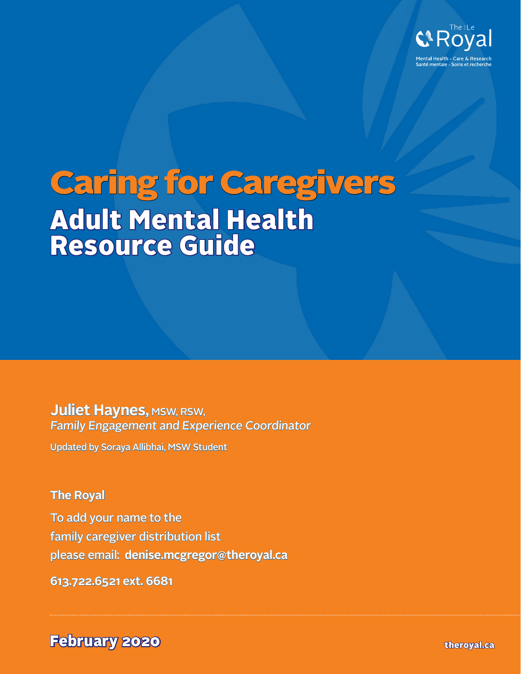

# Caring for Caregivers Adult Mental Health Resource Guide

**Juliet Haynes, MSW, RSW,** Family Engagement and Experience Coordinator

Updated by Soraya Allibhai, MSW Student

### **The Royal**

To add your name to the family caregiver distribution list please email: **[denise.mcgregor@theroyal.ca](mailto:denise.mcgregor%40theroyal.ca?subject=Adult%20Mental%20Health%20Resource%20Guide)**

**613.722.6521 ext. 6681**

**February 2020** the results of the contract of the contract of the contract of the contract of the contract of the contract of the contract of the contract of the contract of the contract of the contract of the contract of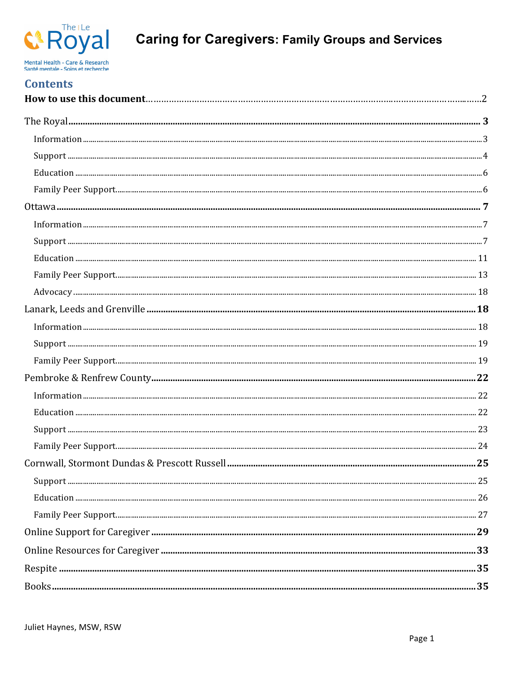

# **Caring for Caregivers: Family Groups and Services**

| <b>Contents</b> |  |
|-----------------|--|
|                 |  |
|                 |  |
|                 |  |
|                 |  |
|                 |  |
|                 |  |
|                 |  |
|                 |  |
|                 |  |
|                 |  |
|                 |  |
|                 |  |
|                 |  |
|                 |  |
|                 |  |
|                 |  |
|                 |  |
|                 |  |
|                 |  |
|                 |  |
|                 |  |
|                 |  |
|                 |  |
|                 |  |
|                 |  |
|                 |  |
|                 |  |
|                 |  |
|                 |  |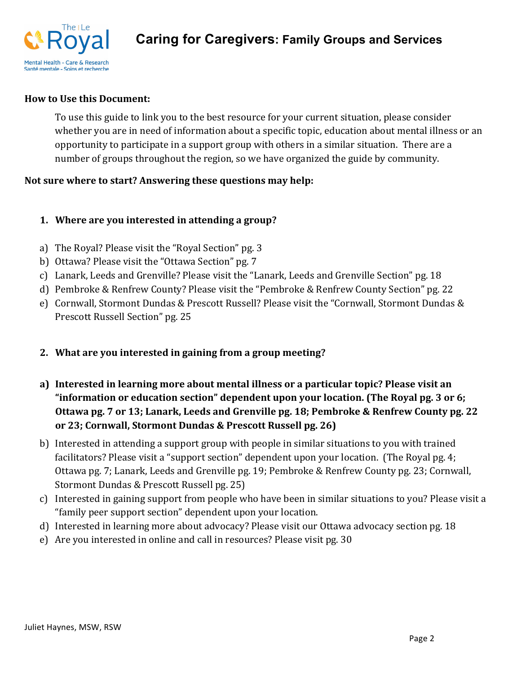

#### **How to Use this Document:**

To use this guide to link you to the best resource for your current situation, please consider whether you are in need of information about a specific topic, education about mental illness or an opportunity to participate in a support group with others in a similar situation. There are a number of groups throughout the region, so we have organized the guide by community.

#### Not sure where to start? Answering these questions may help:

#### **1.** Where are you interested in attending a group?

- a) The Royal? Please visit the "Royal Section" pg. 3
- b) Ottawa? Please visit the "Ottawa Section" pg. 7
- c) Lanark, Leeds and Grenville? Please visit the "Lanark, Leeds and Grenville Section" pg. 18
- d) Pembroke & Renfrew County? Please visit the "Pembroke & Renfrew County Section" pg. 22
- e) Cornwall, Stormont Dundas & Prescott Russell? Please visit the "Cornwall, Stormont Dundas & Prescott Russell Section" pg. 25
- **2.** What are you interested in gaining from a group meeting?
- **a**) Interested in learning more about mental illness or a particular topic? Please visit an "information or education section" dependent upon your location. (The Royal pg. 3 or 6; Ottawa pg. 7 or 13; Lanark, Leeds and Grenville pg. 18; Pembroke & Renfrew County pg. 22 or 23; Cornwall, Stormont Dundas & Prescott Russell pg. 26)
- b) Interested in attending a support group with people in similar situations to you with trained facilitators? Please visit a "support section" dependent upon your location. (The Royal pg. 4; Ottawa pg. 7; Lanark, Leeds and Grenville pg. 19; Pembroke & Renfrew County pg. 23; Cornwall, Stormont Dundas & Prescott Russell pg. 25)
- c) Interested in gaining support from people who have been in similar situations to you? Please visit a "family peer support section" dependent upon your location.
- d) Interested in learning more about advocacy? Please visit our Ottawa advocacy section pg. 18
- e) Are you interested in online and call in resources? Please visit pg. 30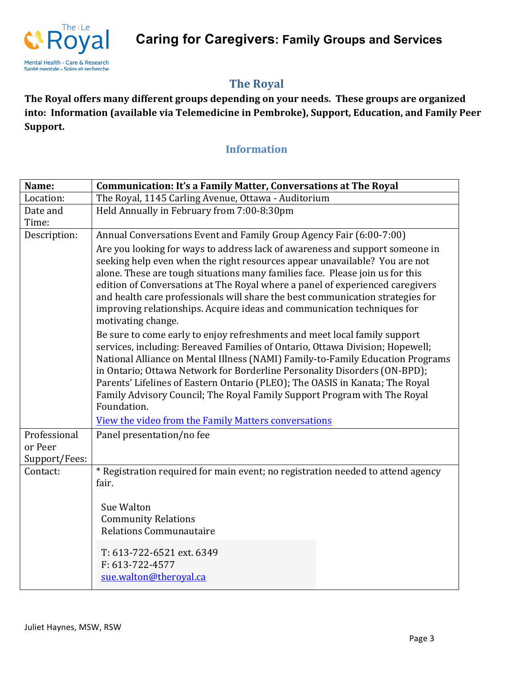**Caring for Caregivers: Family Groups and Services**



### **The Royal**

The Royal offers many different groups depending on your needs. These groups are organized into: Information (available via Telemedicine in Pembroke), Support, Education, and Family Peer Support.

### **Information**

| Name:                    | <b>Communication: It's a Family Matter, Conversations at The Royal</b>                                                                                                                                                                                                                                                                                                                                                                                                                                          |
|--------------------------|-----------------------------------------------------------------------------------------------------------------------------------------------------------------------------------------------------------------------------------------------------------------------------------------------------------------------------------------------------------------------------------------------------------------------------------------------------------------------------------------------------------------|
| Location:                | The Royal, 1145 Carling Avenue, Ottawa - Auditorium                                                                                                                                                                                                                                                                                                                                                                                                                                                             |
| Date and                 | Held Annually in February from 7:00-8:30pm                                                                                                                                                                                                                                                                                                                                                                                                                                                                      |
| Time:                    |                                                                                                                                                                                                                                                                                                                                                                                                                                                                                                                 |
| Description:             | Annual Conversations Event and Family Group Agency Fair (6:00-7:00)                                                                                                                                                                                                                                                                                                                                                                                                                                             |
|                          | Are you looking for ways to address lack of awareness and support someone in<br>seeking help even when the right resources appear unavailable? You are not<br>alone. These are tough situations many families face. Please join us for this<br>edition of Conversations at The Royal where a panel of experienced caregivers<br>and health care professionals will share the best communication strategies for<br>improving relationships. Acquire ideas and communication techniques for<br>motivating change. |
|                          | Be sure to come early to enjoy refreshments and meet local family support<br>services, including: Bereaved Families of Ontario, Ottawa Division; Hopewell;<br>National Alliance on Mental Illness (NAMI) Family-to-Family Education Programs<br>in Ontario; Ottawa Network for Borderline Personality Disorders (ON-BPD);<br>Parents' Lifelines of Eastern Ontario (PLEO); The OASIS in Kanata; The Royal<br>Family Advisory Council; The Royal Family Support Program with The Royal<br>Foundation.            |
|                          | View the video from the Family Matters conversations                                                                                                                                                                                                                                                                                                                                                                                                                                                            |
| Professional             | Panel presentation/no fee                                                                                                                                                                                                                                                                                                                                                                                                                                                                                       |
| or Peer<br>Support/Fees: |                                                                                                                                                                                                                                                                                                                                                                                                                                                                                                                 |
| Contact:                 | * Registration required for main event; no registration needed to attend agency<br>fair.<br>Sue Walton<br><b>Community Relations</b><br><b>Relations Communautaire</b>                                                                                                                                                                                                                                                                                                                                          |
|                          | T: 613-722-6521 ext. 6349<br>F: 613-722-4577<br>sue.walton@theroyal.ca                                                                                                                                                                                                                                                                                                                                                                                                                                          |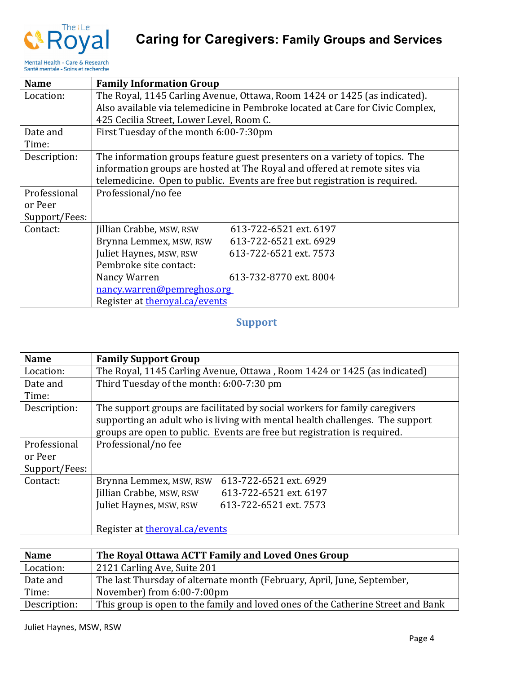

| <b>Name</b>   | <b>Family Information Group</b>                                           |                                                                                |
|---------------|---------------------------------------------------------------------------|--------------------------------------------------------------------------------|
| Location:     | The Royal, 1145 Carling Avenue, Ottawa, Room 1424 or 1425 (as indicated). |                                                                                |
|               |                                                                           | Also available via telemedicine in Pembroke located at Care for Civic Complex, |
|               | 425 Cecilia Street, Lower Level, Room C.                                  |                                                                                |
| Date and      | First Tuesday of the month 6:00-7:30pm                                    |                                                                                |
| Time:         |                                                                           |                                                                                |
| Description:  |                                                                           | The information groups feature guest presenters on a variety of topics. The    |
|               |                                                                           | information groups are hosted at The Royal and offered at remote sites via     |
|               |                                                                           | telemedicine. Open to public. Events are free but registration is required.    |
| Professional  | Professional/no fee                                                       |                                                                                |
| or Peer       |                                                                           |                                                                                |
| Support/Fees: |                                                                           |                                                                                |
| Contact:      | Jillian Crabbe, MSW, RSW                                                  | 613-722-6521 ext. 6197                                                         |
|               | Brynna Lemmex, MSW, RSW                                                   | 613-722-6521 ext. 6929                                                         |
|               | Juliet Haynes, MSW, RSW                                                   | 613-722-6521 ext. 7573                                                         |
|               | Pembroke site contact:                                                    |                                                                                |
|               | Nancy Warren                                                              | 613-732-8770 ext. 8004                                                         |
|               | nancy.warren@pemreghos.org                                                |                                                                                |
|               | Register at theroyal.ca/events                                            |                                                                                |

### **Support**

| <b>Name</b>   | <b>Family Support Group</b>                                                                                                                                                                                                            |
|---------------|----------------------------------------------------------------------------------------------------------------------------------------------------------------------------------------------------------------------------------------|
| Location:     | The Royal, 1145 Carling Avenue, Ottawa, Room 1424 or 1425 (as indicated)                                                                                                                                                               |
| Date and      | Third Tuesday of the month: 6:00-7:30 pm                                                                                                                                                                                               |
| Time:         |                                                                                                                                                                                                                                        |
| Description:  | The support groups are facilitated by social workers for family caregivers<br>supporting an adult who is living with mental health challenges. The support<br>groups are open to public. Events are free but registration is required. |
| Professional  | Professional/no fee                                                                                                                                                                                                                    |
| or Peer       |                                                                                                                                                                                                                                        |
| Support/Fees: |                                                                                                                                                                                                                                        |
| Contact:      | 613-722-6521 ext. 6929<br>Brynna Lemmex, MSW, RSW                                                                                                                                                                                      |
|               | Jillian Crabbe, MSW, RSW<br>613-722-6521 ext. 6197                                                                                                                                                                                     |
|               | Juliet Haynes, MSW, RSW<br>613-722-6521 ext. 7573                                                                                                                                                                                      |
|               | Register at theroyal.ca/events                                                                                                                                                                                                         |

| <b>Name</b>  | The Royal Ottawa ACTT Family and Loved Ones Group                                |
|--------------|----------------------------------------------------------------------------------|
| Location:    | 2121 Carling Ave, Suite 201                                                      |
| Date and     | The last Thursday of alternate month (February, April, June, September,          |
| Time:        | November) from 6:00-7:00pm                                                       |
| Description: | This group is open to the family and loved ones of the Catherine Street and Bank |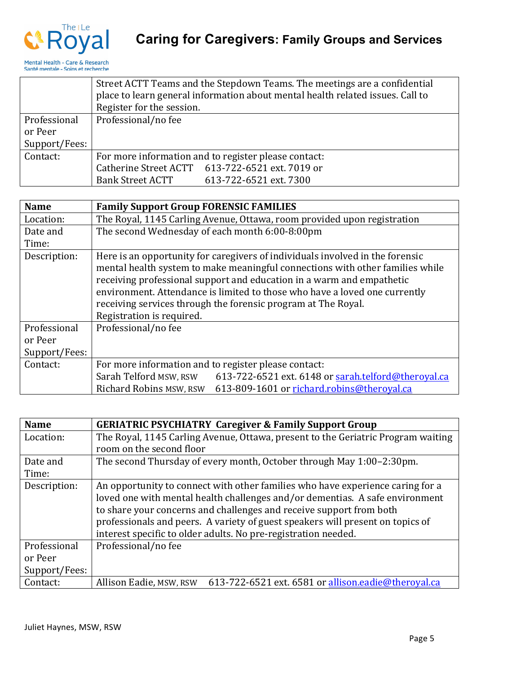

|               | Street ACTT Teams and the Stepdown Teams. The meetings are a confidential<br>place to learn general information about mental health related issues. Call to<br>Register for the session. |  |
|---------------|------------------------------------------------------------------------------------------------------------------------------------------------------------------------------------------|--|
| Professional  | Professional/no fee                                                                                                                                                                      |  |
| or Peer       |                                                                                                                                                                                          |  |
| Support/Fees: |                                                                                                                                                                                          |  |
| Contact:      | For more information and to register please contact:                                                                                                                                     |  |
|               | Catherine Street ACTT 613-722-6521 ext. 7019 or                                                                                                                                          |  |
|               | Bank Street ACTT<br>613-722-6521 ext. 7300                                                                                                                                               |  |

| <b>Name</b>   | <b>Family Support Group FORENSIC FAMILIES</b>                                                                                                                                                                                           |  |
|---------------|-----------------------------------------------------------------------------------------------------------------------------------------------------------------------------------------------------------------------------------------|--|
| Location:     | The Royal, 1145 Carling Avenue, Ottawa, room provided upon registration                                                                                                                                                                 |  |
| Date and      | The second Wednesday of each month 6:00-8:00pm                                                                                                                                                                                          |  |
| Time:         |                                                                                                                                                                                                                                         |  |
| Description:  | Here is an opportunity for caregivers of individuals involved in the forensic<br>mental health system to make meaningful connections with other families while<br>receiving professional support and education in a warm and empathetic |  |
|               | environment. Attendance is limited to those who have a loved one currently                                                                                                                                                              |  |
|               | receiving services through the forensic program at The Royal.                                                                                                                                                                           |  |
|               | Registration is required.                                                                                                                                                                                                               |  |
| Professional  | Professional/no fee                                                                                                                                                                                                                     |  |
| or Peer       |                                                                                                                                                                                                                                         |  |
| Support/Fees: |                                                                                                                                                                                                                                         |  |
| Contact:      | For more information and to register please contact:                                                                                                                                                                                    |  |
|               | Sarah Telford MSW, RSW<br>613-722-6521 ext. 6148 or sarah.telford@theroyal.ca                                                                                                                                                           |  |
|               | Richard Robins MSW, RSW<br>613-809-1601 or richard.robins@theroyal.ca                                                                                                                                                                   |  |

| <b>Name</b>   | <b>GERIATRIC PSYCHIATRY Caregiver &amp; Family Support Group</b>                 |
|---------------|----------------------------------------------------------------------------------|
| Location:     | The Royal, 1145 Carling Avenue, Ottawa, present to the Geriatric Program waiting |
|               | room on the second floor                                                         |
| Date and      | The second Thursday of every month, October through May 1:00–2:30pm.             |
| Time:         |                                                                                  |
| Description:  | An opportunity to connect with other families who have experience caring for a   |
|               | loved one with mental health challenges and/or dementias. A safe environment     |
|               | to share your concerns and challenges and receive support from both              |
|               | professionals and peers. A variety of guest speakers will present on topics of   |
|               | interest specific to older adults. No pre-registration needed.                   |
| Professional  | Professional/no fee                                                              |
| or Peer       |                                                                                  |
| Support/Fees: |                                                                                  |
| Contact:      | 613-722-6521 ext. 6581 or allison.eadie@theroyal.ca<br>Allison Eadie, MSW, RSW   |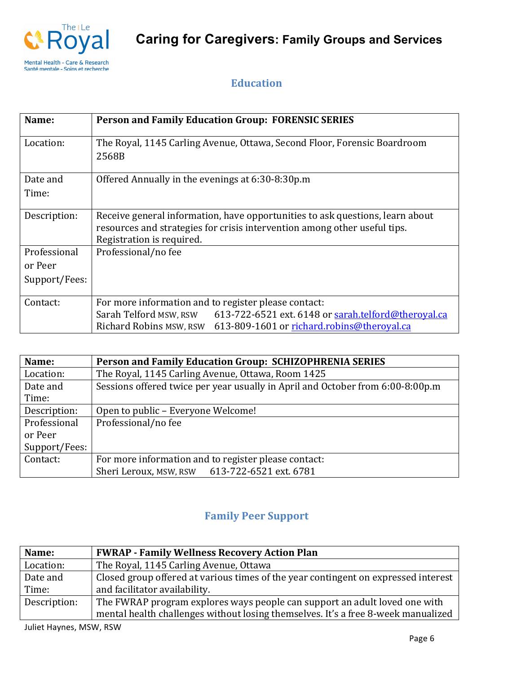

### **Education**

| Name:         | <b>Person and Family Education Group: FORENSIC SERIES</b>                     |
|---------------|-------------------------------------------------------------------------------|
| Location:     | The Royal, 1145 Carling Avenue, Ottawa, Second Floor, Forensic Boardroom      |
|               | 2568B                                                                         |
| Date and      | Offered Annually in the evenings at 6:30-8:30p.m                              |
| Time:         |                                                                               |
| Description:  | Receive general information, have opportunities to ask questions, learn about |
|               | resources and strategies for crisis intervention among other useful tips.     |
|               | Registration is required.                                                     |
| Professional  | Professional/no fee                                                           |
| or Peer       |                                                                               |
| Support/Fees: |                                                                               |
| Contact:      | For more information and to register please contact:                          |
|               | 613-722-6521 ext. 6148 or sarah.telford@theroyal.ca<br>Sarah Telford MSW, RSW |
|               | Richard Robins MSW, RSW<br>613-809-1601 or richard.robins@theroyal.ca         |

| Name:         | Person and Family Education Group: SCHIZOPHRENIA SERIES                        |
|---------------|--------------------------------------------------------------------------------|
| Location:     | The Royal, 1145 Carling Avenue, Ottawa, Room 1425                              |
| Date and      | Sessions offered twice per year usually in April and October from 6:00-8:00p.m |
| Time:         |                                                                                |
| Description:  | Open to public - Everyone Welcome!                                             |
| Professional  | Professional/no fee                                                            |
| or Peer       |                                                                                |
| Support/Fees: |                                                                                |
| Contact:      | For more information and to register please contact:                           |
|               | Sheri Leroux, MSW, RSW 613-722-6521 ext. 6781                                  |

### **Family Peer Support**

| Name:        | <b>FWRAP - Family Wellness Recovery Action Plan</b>                                |
|--------------|------------------------------------------------------------------------------------|
| Location:    | The Royal, 1145 Carling Avenue, Ottawa                                             |
| Date and     | Closed group offered at various times of the year contingent on expressed interest |
| Time:        | and facilitator availability.                                                      |
| Description: | The FWRAP program explores ways people can support an adult loved one with         |
|              | mental health challenges without losing themselves. It's a free 8-week manualized  |

Juliet Haynes, MSW, RSW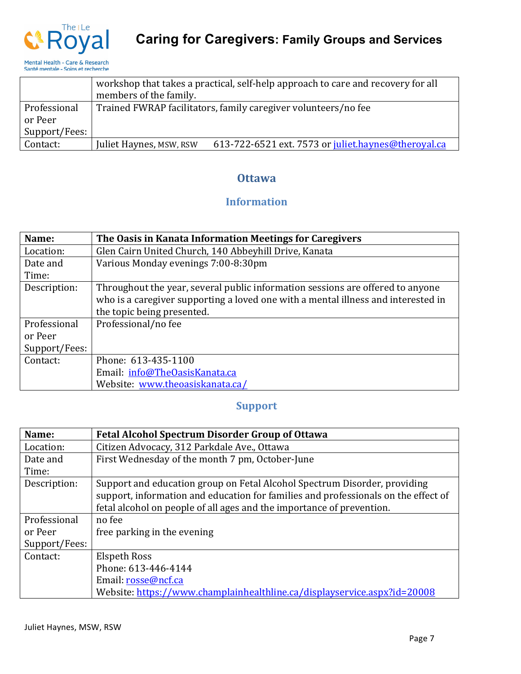

|               | workshop that takes a practical, self-help approach to care and recovery for all<br>members of the family. |  |
|---------------|------------------------------------------------------------------------------------------------------------|--|
| Professional  | Trained FWRAP facilitators, family caregiver volunteers/no fee                                             |  |
| or Peer       |                                                                                                            |  |
| Support/Fees: |                                                                                                            |  |
| Contact:      | 613-722-6521 ext. 7573 or juliet.haynes@theroyal.ca<br>Juliet Haynes, MSW, RSW                             |  |

#### **Ottawa**

### **Information**

| Name:         | The Oasis in Kanata Information Meetings for Caregivers                           |
|---------------|-----------------------------------------------------------------------------------|
| Location:     | Glen Cairn United Church, 140 Abbeyhill Drive, Kanata                             |
| Date and      | Various Monday evenings 7:00-8:30pm                                               |
| Time:         |                                                                                   |
| Description:  | Throughout the year, several public information sessions are offered to anyone    |
|               | who is a caregiver supporting a loved one with a mental illness and interested in |
|               | the topic being presented.                                                        |
| Professional  | Professional/no fee                                                               |
| or Peer       |                                                                                   |
| Support/Fees: |                                                                                   |
| Contact:      | Phone: 613-435-1100                                                               |
|               | Email: info@TheOasisKanata.ca                                                     |
|               | Website: www.theoasiskanata.ca/                                                   |

### **Support**

| Name:         | <b>Fetal Alcohol Spectrum Disorder Group of Ottawa</b>                             |
|---------------|------------------------------------------------------------------------------------|
| Location:     | Citizen Advocacy, 312 Parkdale Ave., Ottawa                                        |
| Date and      | First Wednesday of the month 7 pm, October-June                                    |
| Time:         |                                                                                    |
| Description:  | Support and education group on Fetal Alcohol Spectrum Disorder, providing          |
|               | support, information and education for families and professionals on the effect of |
|               | fetal alcohol on people of all ages and the importance of prevention.              |
| Professional  | no fee                                                                             |
| or Peer       | free parking in the evening                                                        |
| Support/Fees: |                                                                                    |
| Contact:      | Elspeth Ross                                                                       |
|               | Phone: 613-446-4144                                                                |
|               | Email: rosse@ncf.ca                                                                |
|               | Website: https://www.champlainhealthline.ca/displayservice.aspx?id=20008           |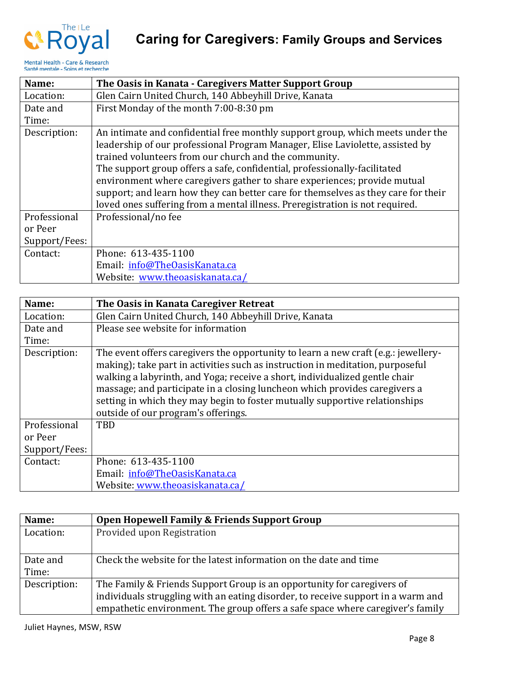



| Name:         | The Oasis in Kanata - Caregivers Matter Support Group                                                                                                                                                                                                                                                                                                                                                                                                                                                                                                  |
|---------------|--------------------------------------------------------------------------------------------------------------------------------------------------------------------------------------------------------------------------------------------------------------------------------------------------------------------------------------------------------------------------------------------------------------------------------------------------------------------------------------------------------------------------------------------------------|
| Location:     | Glen Cairn United Church, 140 Abbeyhill Drive, Kanata                                                                                                                                                                                                                                                                                                                                                                                                                                                                                                  |
| Date and      | First Monday of the month 7:00-8:30 pm                                                                                                                                                                                                                                                                                                                                                                                                                                                                                                                 |
| Time:         |                                                                                                                                                                                                                                                                                                                                                                                                                                                                                                                                                        |
| Description:  | An intimate and confidential free monthly support group, which meets under the<br>leadership of our professional Program Manager, Elise Laviolette, assisted by<br>trained volunteers from our church and the community.<br>The support group offers a safe, confidential, professionally-facilitated<br>environment where caregivers gather to share experiences; provide mutual<br>support; and learn how they can better care for themselves as they care for their<br>loved ones suffering from a mental illness. Preregistration is not required. |
| Professional  | Professional/no fee                                                                                                                                                                                                                                                                                                                                                                                                                                                                                                                                    |
| or Peer       |                                                                                                                                                                                                                                                                                                                                                                                                                                                                                                                                                        |
| Support/Fees: |                                                                                                                                                                                                                                                                                                                                                                                                                                                                                                                                                        |
| Contact:      | Phone: 613-435-1100                                                                                                                                                                                                                                                                                                                                                                                                                                                                                                                                    |
|               | Email: info@TheOasisKanata.ca                                                                                                                                                                                                                                                                                                                                                                                                                                                                                                                          |
|               | Website: www.theoasiskanata.ca/                                                                                                                                                                                                                                                                                                                                                                                                                                                                                                                        |

| Name:         | The Oasis in Kanata Caregiver Retreat                                                                                                                                                                                                                                                                                                                                                                                                                   |
|---------------|---------------------------------------------------------------------------------------------------------------------------------------------------------------------------------------------------------------------------------------------------------------------------------------------------------------------------------------------------------------------------------------------------------------------------------------------------------|
| Location:     | Glen Cairn United Church, 140 Abbeyhill Drive, Kanata                                                                                                                                                                                                                                                                                                                                                                                                   |
| Date and      | Please see website for information                                                                                                                                                                                                                                                                                                                                                                                                                      |
| Time:         |                                                                                                                                                                                                                                                                                                                                                                                                                                                         |
| Description:  | The event offers caregivers the opportunity to learn a new craft (e.g.: jewellery-<br>making); take part in activities such as instruction in meditation, purposeful<br>walking a labyrinth, and Yoga; receive a short, individualized gentle chair<br>massage; and participate in a closing luncheon which provides caregivers a<br>setting in which they may begin to foster mutually supportive relationships<br>outside of our program's offerings. |
| Professional  | <b>TBD</b>                                                                                                                                                                                                                                                                                                                                                                                                                                              |
| or Peer       |                                                                                                                                                                                                                                                                                                                                                                                                                                                         |
| Support/Fees: |                                                                                                                                                                                                                                                                                                                                                                                                                                                         |
| Contact:      | Phone: 613-435-1100                                                                                                                                                                                                                                                                                                                                                                                                                                     |
|               | Email: info@TheOasisKanata.ca                                                                                                                                                                                                                                                                                                                                                                                                                           |
|               | Website: www.theoasiskanata.ca/                                                                                                                                                                                                                                                                                                                                                                                                                         |

| Name:             | Open Hopewell Family & Friends Support Group                                                                                                                                                                                                 |
|-------------------|----------------------------------------------------------------------------------------------------------------------------------------------------------------------------------------------------------------------------------------------|
| Location:         | Provided upon Registration                                                                                                                                                                                                                   |
| Date and<br>Time: | Check the website for the latest information on the date and time                                                                                                                                                                            |
| Description:      | The Family & Friends Support Group is an opportunity for caregivers of<br>individuals struggling with an eating disorder, to receive support in a warm and<br>empathetic environment. The group offers a safe space where caregiver's family |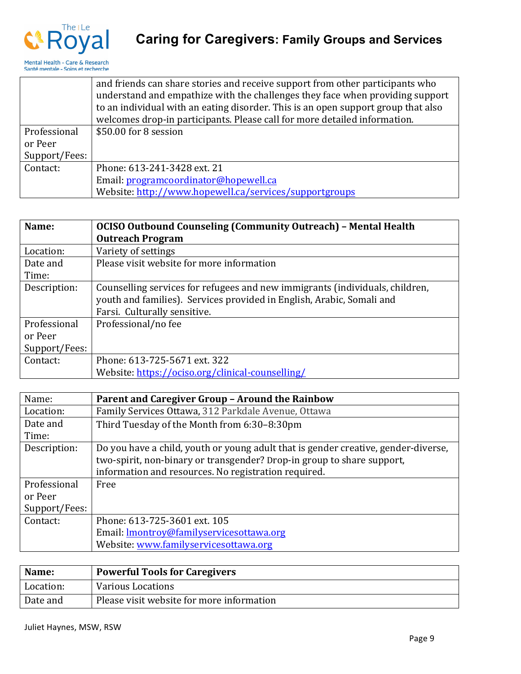

|               | and friends can share stories and receive support from other participants who     |
|---------------|-----------------------------------------------------------------------------------|
|               | understand and empathize with the challenges they face when providing support     |
|               | to an individual with an eating disorder. This is an open support group that also |
|               | welcomes drop-in participants. Please call for more detailed information.         |
| Professional  | \$50.00 for 8 session                                                             |
| or Peer       |                                                                                   |
| Support/Fees: |                                                                                   |
| Contact:      | Phone: 613-241-3428 ext. 21                                                       |
|               | Email: programcoordinator@hopewell.ca                                             |
|               | Website: http://www.hopewell.ca/services/supportgroups                            |

| Name:         | <b>OCISO Outbound Counseling (Community Outreach) - Mental Health</b>        |
|---------------|------------------------------------------------------------------------------|
|               | <b>Outreach Program</b>                                                      |
| Location:     | Variety of settings                                                          |
| Date and      | Please visit website for more information                                    |
| Time:         |                                                                              |
| Description:  | Counselling services for refugees and new immigrants (individuals, children, |
|               | youth and families). Services provided in English, Arabic, Somali and        |
|               | Farsi. Culturally sensitive.                                                 |
| Professional  | Professional/no fee                                                          |
| or Peer       |                                                                              |
| Support/Fees: |                                                                              |
| Contact:      | Phone: 613-725-5671 ext. 322                                                 |
|               | Website: https://ociso.org/clinical-counselling/                             |

| Name:         | Parent and Caregiver Group - Around the Rainbow                                    |
|---------------|------------------------------------------------------------------------------------|
| Location:     | Family Services Ottawa, 312 Parkdale Avenue, Ottawa                                |
| Date and      | Third Tuesday of the Month from 6:30-8:30pm                                        |
| Time:         |                                                                                    |
| Description:  | Do you have a child, youth or young adult that is gender creative, gender-diverse, |
|               | two-spirit, non-binary or transgender? Drop-in group to share support,             |
|               | information and resources. No registration required.                               |
| Professional  | Free                                                                               |
| or Peer       |                                                                                    |
| Support/Fees: |                                                                                    |
| Contact:      | Phone: 613-725-3601 ext. 105                                                       |
|               | Email: <b>Imontroy@familyservicesottawa.org</b>                                    |
|               | Website: www.familyservicesottawa.org                                              |

| Name:     | <b>Powerful Tools for Caregivers</b>      |
|-----------|-------------------------------------------|
| Location: | <b>Various Locations</b>                  |
| Date and  | Please visit website for more information |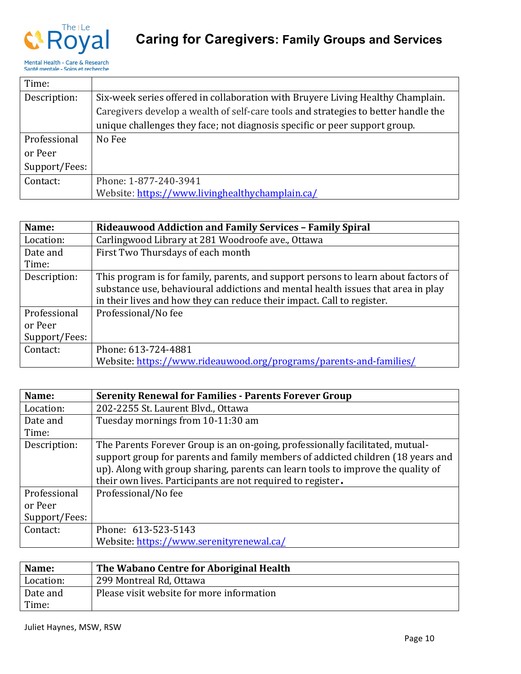

| Time:         |                                                                                    |
|---------------|------------------------------------------------------------------------------------|
| Description:  | Six-week series offered in collaboration with Bruyere Living Healthy Champlain.    |
|               | Caregivers develop a wealth of self-care tools and strategies to better handle the |
|               | unique challenges they face; not diagnosis specific or peer support group.         |
| Professional  | No Fee                                                                             |
| or Peer       |                                                                                    |
| Support/Fees: |                                                                                    |
| Contact:      | Phone: 1-877-240-3941                                                              |
|               | Website: https://www.livinghealthychamplain.ca/                                    |

| Name:         | <b>Rideauwood Addiction and Family Services - Family Spiral</b>                    |
|---------------|------------------------------------------------------------------------------------|
| Location:     | Carlingwood Library at 281 Woodroofe ave., Ottawa                                  |
| Date and      | First Two Thursdays of each month                                                  |
| Time:         |                                                                                    |
| Description:  | This program is for family, parents, and support persons to learn about factors of |
|               | substance use, behavioural addictions and mental health issues that area in play   |
|               | in their lives and how they can reduce their impact. Call to register.             |
| Professional  | Professional/No fee                                                                |
| or Peer       |                                                                                    |
| Support/Fees: |                                                                                    |
| Contact:      | Phone: 613-724-4881                                                                |
|               | Website: https://www.rideauwood.org/programs/parents-and-families/                 |

| Name:         | <b>Serenity Renewal for Families - Parents Forever Group</b>                                                                                                                                                                                                                                                        |
|---------------|---------------------------------------------------------------------------------------------------------------------------------------------------------------------------------------------------------------------------------------------------------------------------------------------------------------------|
| Location:     | 202-2255 St. Laurent Blvd., Ottawa                                                                                                                                                                                                                                                                                  |
| Date and      | Tuesday mornings from 10-11:30 am                                                                                                                                                                                                                                                                                   |
| Time:         |                                                                                                                                                                                                                                                                                                                     |
| Description:  | The Parents Forever Group is an on-going, professionally facilitated, mutual-<br>support group for parents and family members of addicted children (18 years and<br>up). Along with group sharing, parents can learn tools to improve the quality of<br>their own lives. Participants are not required to register. |
| Professional  | Professional/No fee                                                                                                                                                                                                                                                                                                 |
| or Peer       |                                                                                                                                                                                                                                                                                                                     |
| Support/Fees: |                                                                                                                                                                                                                                                                                                                     |
| Contact:      | Phone: 613-523-5143                                                                                                                                                                                                                                                                                                 |
|               | Website: https://www.serenityrenewal.ca/                                                                                                                                                                                                                                                                            |

| Name:     | The Wabano Centre for Aboriginal Health   |
|-----------|-------------------------------------------|
| Location: | 299 Montreal Rd, Ottawa                   |
| Date and  | Please visit website for more information |
| Time:     |                                           |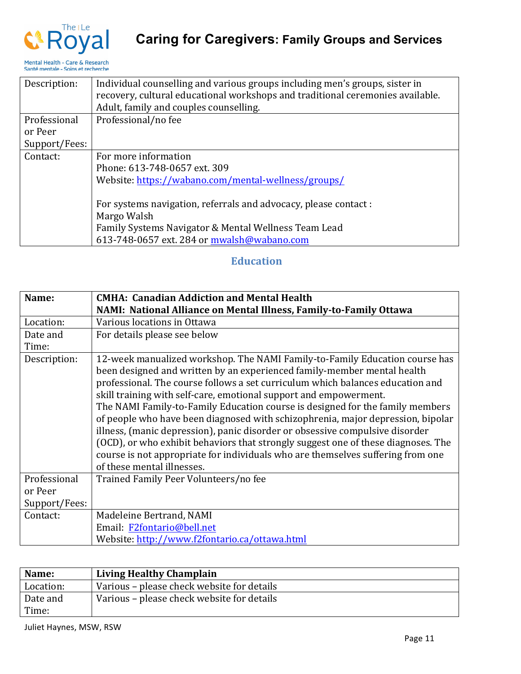

| Description:  | Individual counselling and various groups including men's groups, sister in    |
|---------------|--------------------------------------------------------------------------------|
|               | recovery, cultural educational workshops and traditional ceremonies available. |
|               | Adult, family and couples counselling.                                         |
| Professional  | Professional/no fee                                                            |
| or Peer       |                                                                                |
| Support/Fees: |                                                                                |
| Contact:      | For more information                                                           |
|               | Phone: 613-748-0657 ext. 309                                                   |
|               | Website: https://wabano.com/mental-wellness/groups/                            |
|               |                                                                                |
|               | For systems navigation, referrals and advocacy, please contact :               |
|               | Margo Walsh                                                                    |
|               | Family Systems Navigator & Mental Wellness Team Lead                           |
|               | 613-748-0657 ext. 284 or mwalsh@wabano.com                                     |

### **Education**

| Name:         | <b>CMHA: Canadian Addiction and Mental Health</b><br>NAMI: National Alliance on Mental Illness, Family-to-Family Ottawa                                                                                                                                                                                                                                                                                                                                                                                                                                                                                                                                                                                                                                                 |
|---------------|-------------------------------------------------------------------------------------------------------------------------------------------------------------------------------------------------------------------------------------------------------------------------------------------------------------------------------------------------------------------------------------------------------------------------------------------------------------------------------------------------------------------------------------------------------------------------------------------------------------------------------------------------------------------------------------------------------------------------------------------------------------------------|
| Location:     | Various locations in Ottawa                                                                                                                                                                                                                                                                                                                                                                                                                                                                                                                                                                                                                                                                                                                                             |
| Date and      | For details please see below                                                                                                                                                                                                                                                                                                                                                                                                                                                                                                                                                                                                                                                                                                                                            |
| Time:         |                                                                                                                                                                                                                                                                                                                                                                                                                                                                                                                                                                                                                                                                                                                                                                         |
| Description:  | 12-week manualized workshop. The NAMI Family-to-Family Education course has<br>been designed and written by an experienced family-member mental health<br>professional. The course follows a set curriculum which balances education and<br>skill training with self-care, emotional support and empowerment.<br>The NAMI Family-to-Family Education course is designed for the family members<br>of people who have been diagnosed with schizophrenia, major depression, bipolar<br>illness, (manic depression), panic disorder or obsessive compulsive disorder<br>(OCD), or who exhibit behaviors that strongly suggest one of these diagnoses. The<br>course is not appropriate for individuals who are themselves suffering from one<br>of these mental illnesses. |
| Professional  | Trained Family Peer Volunteers/no fee                                                                                                                                                                                                                                                                                                                                                                                                                                                                                                                                                                                                                                                                                                                                   |
| or Peer       |                                                                                                                                                                                                                                                                                                                                                                                                                                                                                                                                                                                                                                                                                                                                                                         |
| Support/Fees: |                                                                                                                                                                                                                                                                                                                                                                                                                                                                                                                                                                                                                                                                                                                                                                         |
| Contact:      | Madeleine Bertrand, NAMI                                                                                                                                                                                                                                                                                                                                                                                                                                                                                                                                                                                                                                                                                                                                                |
|               | Email: F2fontario@bell.net                                                                                                                                                                                                                                                                                                                                                                                                                                                                                                                                                                                                                                                                                                                                              |
|               | Website: http://www.f2fontario.ca/ottawa.html                                                                                                                                                                                                                                                                                                                                                                                                                                                                                                                                                                                                                                                                                                                           |

| Name:     | <b>Living Healthy Champlain</b>            |
|-----------|--------------------------------------------|
| Location: | Various – please check website for details |
| Date and  | Various – please check website for details |
| Time:     |                                            |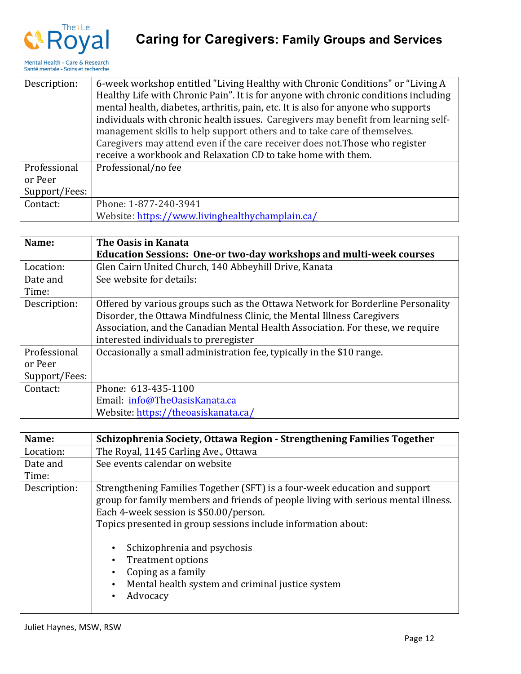

| Description:  | 6-week workshop entitled "Living Healthy with Chronic Conditions" or "Living A      |
|---------------|-------------------------------------------------------------------------------------|
|               | Healthy Life with Chronic Pain". It is for anyone with chronic conditions including |
|               | mental health, diabetes, arthritis, pain, etc. It is also for anyone who supports   |
|               | individuals with chronic health issues. Caregivers may benefit from learning self-  |
|               | management skills to help support others and to take care of themselves.            |
|               | Caregivers may attend even if the care receiver does not. Those who register        |
|               | receive a workbook and Relaxation CD to take home with them.                        |
| Professional  | Professional/no fee                                                                 |
| or Peer       |                                                                                     |
| Support/Fees: |                                                                                     |
| Contact:      | Phone: 1-877-240-3941                                                               |
|               | Website: https://www.livinghealthychamplain.ca/                                     |

| Name:         | The Oasis in Kanata                                                             |
|---------------|---------------------------------------------------------------------------------|
|               | <b>Education Sessions: One-or two-day workshops and multi-week courses</b>      |
| Location:     | Glen Cairn United Church, 140 Abbeyhill Drive, Kanata                           |
| Date and      | See website for details:                                                        |
| Time:         |                                                                                 |
| Description:  | Offered by various groups such as the Ottawa Network for Borderline Personality |
|               | Disorder, the Ottawa Mindfulness Clinic, the Mental Illness Caregivers          |
|               | Association, and the Canadian Mental Health Association. For these, we require  |
|               | interested individuals to preregister                                           |
| Professional  | Occasionally a small administration fee, typically in the \$10 range.           |
| or Peer       |                                                                                 |
| Support/Fees: |                                                                                 |
| Contact:      | Phone: 613-435-1100                                                             |
|               | Email: info@TheOasisKanata.ca                                                   |
|               | Website: https://theoasiskanata.ca/                                             |

| Name:        | Schizophrenia Society, Ottawa Region - Strengthening Families Together                                                                                                                                                                                                                                                                                                                                                                                              |
|--------------|---------------------------------------------------------------------------------------------------------------------------------------------------------------------------------------------------------------------------------------------------------------------------------------------------------------------------------------------------------------------------------------------------------------------------------------------------------------------|
| Location:    | The Royal, 1145 Carling Ave., Ottawa                                                                                                                                                                                                                                                                                                                                                                                                                                |
| Date and     | See events calendar on website                                                                                                                                                                                                                                                                                                                                                                                                                                      |
| Time:        |                                                                                                                                                                                                                                                                                                                                                                                                                                                                     |
| Description: | Strengthening Families Together (SFT) is a four-week education and support<br>group for family members and friends of people living with serious mental illness.<br>Each 4-week session is \$50.00/person.<br>Topics presented in group sessions include information about:<br>Schizophrenia and psychosis<br>$\bullet$<br><b>Treatment options</b><br>Coping as a family<br>Mental health system and criminal justice system<br>$\bullet$<br>Advocacy<br>$\bullet$ |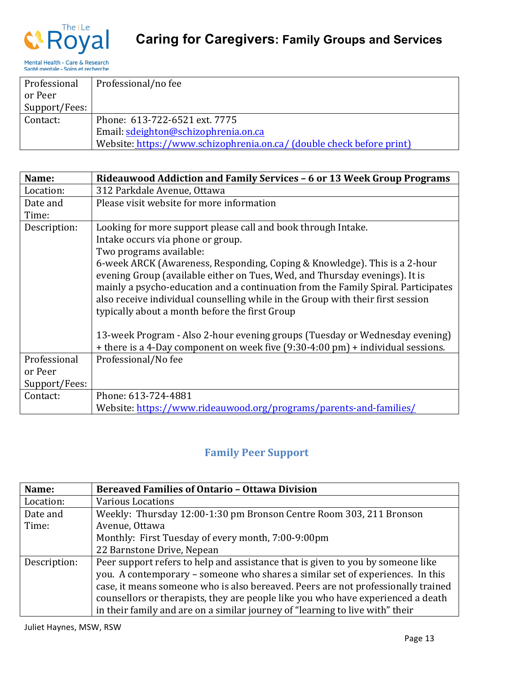

| Professional  | Professional/no fee                                                   |
|---------------|-----------------------------------------------------------------------|
| or Peer       |                                                                       |
| Support/Fees: |                                                                       |
| Contact:      | Phone: 613-722-6521 ext. 7775                                         |
|               | Email: sdeighton@schizophrenia.on.ca                                  |
|               | Website: https://www.schizophrenia.on.ca/ (double check before print) |

| Name:         | Rideauwood Addiction and Family Services - 6 or 13 Week Group Programs                                                                                         |
|---------------|----------------------------------------------------------------------------------------------------------------------------------------------------------------|
| Location:     | 312 Parkdale Avenue, Ottawa                                                                                                                                    |
| Date and      | Please visit website for more information                                                                                                                      |
| Time:         |                                                                                                                                                                |
| Description:  | Looking for more support please call and book through Intake.                                                                                                  |
|               | Intake occurs via phone or group.                                                                                                                              |
|               | Two programs available:                                                                                                                                        |
|               | 6-week ARCK (Awareness, Responding, Coping & Knowledge). This is a 2-hour<br>evening Group (available either on Tues, Wed, and Thursday evenings). It is       |
|               | mainly a psycho-education and a continuation from the Family Spiral. Participates                                                                              |
|               | also receive individual counselling while in the Group with their first session                                                                                |
|               | typically about a month before the first Group                                                                                                                 |
|               | 13-week Program - Also 2-hour evening groups (Tuesday or Wednesday evening)<br>+ there is a 4-Day component on week five (9:30-4:00 pm) + individual sessions. |
| Professional  | Professional/No fee                                                                                                                                            |
|               |                                                                                                                                                                |
| or Peer       |                                                                                                                                                                |
| Support/Fees: |                                                                                                                                                                |
| Contact:      | Phone: 613-724-4881                                                                                                                                            |
|               | Website: https://www.rideauwood.org/programs/parents-and-families/                                                                                             |

### **Family Peer Support**

| Name:        | <b>Bereaved Families of Ontario - Ottawa Division</b>                             |
|--------------|-----------------------------------------------------------------------------------|
| Location:    | <b>Various Locations</b>                                                          |
| Date and     | Weekly: Thursday 12:00-1:30 pm Bronson Centre Room 303, 211 Bronson               |
| Time:        | Avenue, Ottawa                                                                    |
|              | Monthly: First Tuesday of every month, 7:00-9:00pm                                |
|              | 22 Barnstone Drive, Nepean                                                        |
| Description: | Peer support refers to help and assistance that is given to you by someone like   |
|              | you. A contemporary – someone who shares a similar set of experiences. In this    |
|              | case, it means someone who is also bereaved. Peers are not professionally trained |
|              | counsellors or therapists, they are people like you who have experienced a death  |
|              | in their family and are on a similar journey of "learning to live with" their     |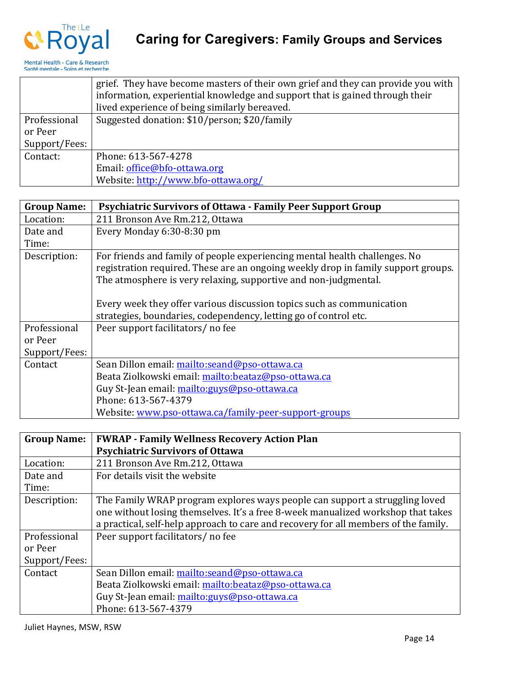

|               | grief. They have become masters of their own grief and they can provide you with<br>information, experiential knowledge and support that is gained through their |
|---------------|------------------------------------------------------------------------------------------------------------------------------------------------------------------|
|               | lived experience of being similarly bereaved.                                                                                                                    |
| Professional  | Suggested donation: \$10/person; \$20/family                                                                                                                     |
| or Peer       |                                                                                                                                                                  |
| Support/Fees: |                                                                                                                                                                  |
| Contact:      | Phone: 613-567-4278                                                                                                                                              |
|               | Email: office@bfo-ottawa.org                                                                                                                                     |
|               | Website: http://www.bfo-ottawa.org/                                                                                                                              |

| <b>Group Name:</b> | <b>Psychiatric Survivors of Ottawa - Family Peer Support Group</b>                |
|--------------------|-----------------------------------------------------------------------------------|
| Location:          | 211 Bronson Ave Rm.212, Ottawa                                                    |
| Date and           | Every Monday 6:30-8:30 pm                                                         |
| Time:              |                                                                                   |
| Description:       | For friends and family of people experiencing mental health challenges. No        |
|                    | registration required. These are an ongoing weekly drop in family support groups. |
|                    | The atmosphere is very relaxing, supportive and non-judgmental.                   |
|                    |                                                                                   |
|                    | Every week they offer various discussion topics such as communication             |
|                    | strategies, boundaries, codependency, letting go of control etc.                  |
| Professional       | Peer support facilitators/ no fee                                                 |
| or Peer            |                                                                                   |
| Support/Fees:      |                                                                                   |
| Contact            | Sean Dillon email: mailto:seand@pso-ottawa.ca                                     |
|                    | Beata Ziolkowski email: mailto:beataz@pso-ottawa.ca                               |
|                    | Guy St-Jean email: mailto: guys@pso-ottawa.ca                                     |
|                    | Phone: 613-567-4379                                                               |
|                    | Website: www.pso-ottawa.ca/family-peer-support-groups                             |

| <b>Group Name:</b> | <b>FWRAP - Family Wellness Recovery Action Plan</b>                                 |
|--------------------|-------------------------------------------------------------------------------------|
|                    | <b>Psychiatric Survivors of Ottawa</b>                                              |
| Location:          | 211 Bronson Ave Rm.212, Ottawa                                                      |
| Date and           | For details visit the website                                                       |
| Time:              |                                                                                     |
| Description:       | The Family WRAP program explores ways people can support a struggling loved         |
|                    | one without losing themselves. It's a free 8-week manualized workshop that takes    |
|                    | a practical, self-help approach to care and recovery for all members of the family. |
| Professional       | Peer support facilitators/ no fee                                                   |
| or Peer            |                                                                                     |
| Support/Fees:      |                                                                                     |
| Contact            | Sean Dillon email: mailto:seand@pso-ottawa.ca                                       |
|                    | Beata Ziolkowski email: mailto:beataz@pso-ottawa.ca                                 |
|                    | Guy St-Jean email: mailto: guys@pso-ottawa.ca                                       |
|                    | Phone: 613-567-4379                                                                 |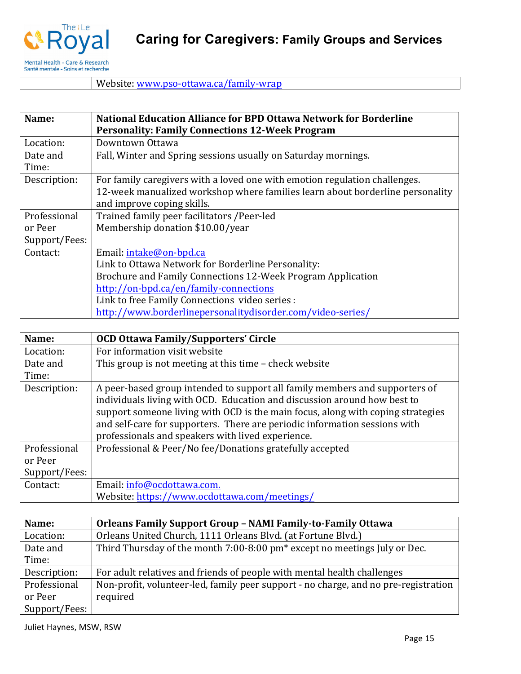

Website: www.pso-ottawa.ca/family-wrap

#### **Name:** | National Education Alliance for BPD Ottawa Network for Borderline **Personality: Family Connections 12-Week Program** Location: | Downtown Ottawa Date and Time: Fall, Winter and Spring sessions usually on Saturday mornings. Description:  $\vert$  For family caregivers with a loved one with emotion regulation challenges. 12-week manualized workshop where families learn about borderline personality and improve coping skills. Professional or Peer Support/Fees: Trained family peer facilitators /Peer-led Membership donation \$10.00/year Contact: | Email: intake@on-bpd.ca Link to Ottawa Network for Borderline Personality: Brochure and Family Connections 12-Week Program Application http://on-bpd.ca/en/family-connections Link to free Family Connections video series : http://www.borderlinepersonalitydisorder.com/video-series/

| Name:         | <b>OCD Ottawa Family/Supporters' Circle</b>                                                                                                                                                                                                                                                                                                                                   |
|---------------|-------------------------------------------------------------------------------------------------------------------------------------------------------------------------------------------------------------------------------------------------------------------------------------------------------------------------------------------------------------------------------|
| Location:     | For information visit website                                                                                                                                                                                                                                                                                                                                                 |
| Date and      | This group is not meeting at this time - check website                                                                                                                                                                                                                                                                                                                        |
| Time:         |                                                                                                                                                                                                                                                                                                                                                                               |
| Description:  | A peer-based group intended to support all family members and supporters of<br>individuals living with OCD. Education and discussion around how best to<br>support someone living with OCD is the main focus, along with coping strategies<br>and self-care for supporters. There are periodic information sessions with<br>professionals and speakers with lived experience. |
| Professional  | Professional & Peer/No fee/Donations gratefully accepted                                                                                                                                                                                                                                                                                                                      |
| or Peer       |                                                                                                                                                                                                                                                                                                                                                                               |
| Support/Fees: |                                                                                                                                                                                                                                                                                                                                                                               |
| Contact:      | Email: info@ocdottawa.com.                                                                                                                                                                                                                                                                                                                                                    |
|               | Website: https://www.ocdottawa.com/meetings/                                                                                                                                                                                                                                                                                                                                  |

| Name:         | <b>Orleans Family Support Group - NAMI Family-to-Family Ottawa</b>                    |
|---------------|---------------------------------------------------------------------------------------|
| Location:     | Orleans United Church, 1111 Orleans Blvd. (at Fortune Blvd.)                          |
| Date and      | Third Thursday of the month 7:00-8:00 pm <sup>*</sup> except no meetings July or Dec. |
| Time:         |                                                                                       |
| Description:  | For adult relatives and friends of people with mental health challenges               |
| Professional  | Non-profit, volunteer-led, family peer support - no charge, and no pre-registration   |
| or Peer       | required                                                                              |
| Support/Fees: |                                                                                       |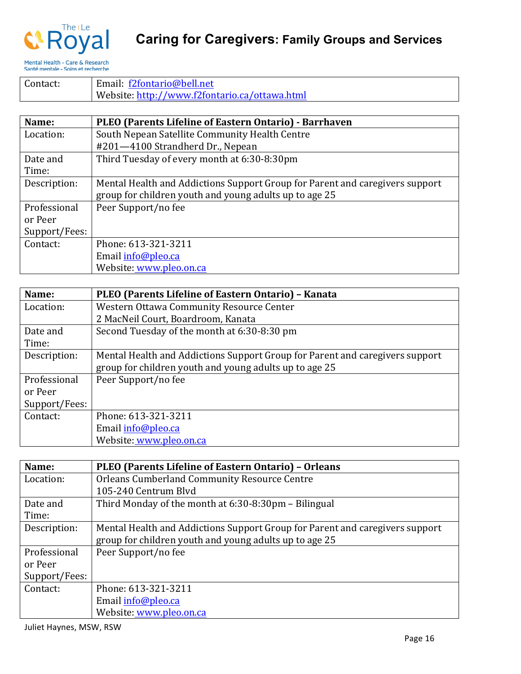

# **Caring for Caregivers: Family Groups and Services**

Mental Health - Care & Research<br>Santé mentale - Soins et recherche

| Contact: | Email: f2fontario@bell.net                    |
|----------|-----------------------------------------------|
|          | Website: http://www.f2fontario.ca/ottawa.html |

| Name:         | PLEO (Parents Lifeline of Eastern Ontario) - Barrhaven                       |
|---------------|------------------------------------------------------------------------------|
| Location:     | South Nepean Satellite Community Health Centre                               |
|               | #201-4100 Strandherd Dr., Nepean                                             |
| Date and      | Third Tuesday of every month at 6:30-8:30pm                                  |
| Time:         |                                                                              |
| Description:  | Mental Health and Addictions Support Group for Parent and caregivers support |
|               | group for children youth and young adults up to age 25                       |
| Professional  | Peer Support/no fee                                                          |
| or Peer       |                                                                              |
| Support/Fees: |                                                                              |
| Contact:      | Phone: 613-321-3211                                                          |
|               | Email info@pleo.ca                                                           |
|               | Website: www.pleo.on.ca                                                      |

| Name:         | PLEO (Parents Lifeline of Eastern Ontario) - Kanata                          |
|---------------|------------------------------------------------------------------------------|
| Location:     | Western Ottawa Community Resource Center                                     |
|               | 2 MacNeil Court, Boardroom, Kanata                                           |
| Date and      | Second Tuesday of the month at 6:30-8:30 pm                                  |
| Time:         |                                                                              |
| Description:  | Mental Health and Addictions Support Group for Parent and caregivers support |
|               | group for children youth and young adults up to age 25                       |
| Professional  | Peer Support/no fee                                                          |
| or Peer       |                                                                              |
| Support/Fees: |                                                                              |
| Contact:      | Phone: 613-321-3211                                                          |
|               | Email info@pleo.ca                                                           |
|               | Website: www.pleo.on.ca                                                      |

| Name:         | PLEO (Parents Lifeline of Eastern Ontario) - Orleans                         |
|---------------|------------------------------------------------------------------------------|
| Location:     | <b>Orleans Cumberland Community Resource Centre</b>                          |
|               | 105-240 Centrum Blyd                                                         |
| Date and      | Third Monday of the month at 6:30-8:30pm – Bilingual                         |
| Time:         |                                                                              |
| Description:  | Mental Health and Addictions Support Group for Parent and caregivers support |
|               | group for children youth and young adults up to age 25                       |
| Professional  | Peer Support/no fee                                                          |
| or Peer       |                                                                              |
| Support/Fees: |                                                                              |
| Contact:      | Phone: 613-321-3211                                                          |
|               | Email info@pleo.ca                                                           |
|               | Website: www.pleo.on.ca                                                      |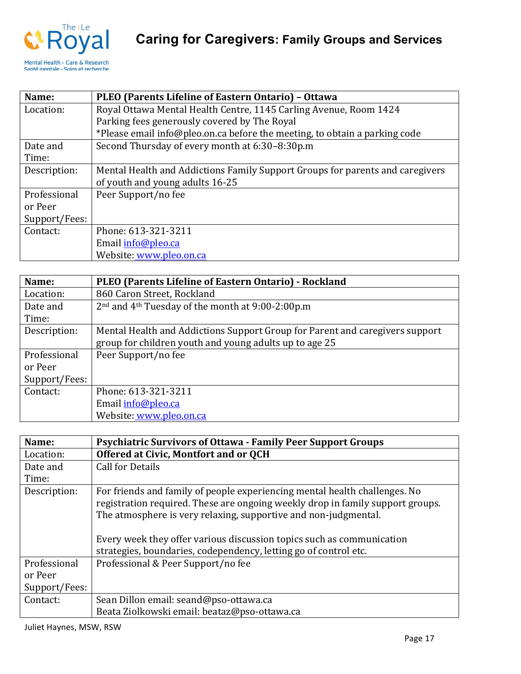

| Name:         | PLEO (Parents Lifeline of Eastern Ontario) - Ottawa                           |
|---------------|-------------------------------------------------------------------------------|
| Location:     | Royal Ottawa Mental Health Centre, 1145 Carling Avenue, Room 1424             |
|               | Parking fees generously covered by The Royal                                  |
|               | *Please email info@pleo.on.ca before the meeting, to obtain a parking code    |
| Date and      | Second Thursday of every month at 6:30-8:30p.m                                |
| Time:         |                                                                               |
| Description:  | Mental Health and Addictions Family Support Groups for parents and caregivers |
|               | of youth and young adults 16-25                                               |
| Professional  | Peer Support/no fee                                                           |
| or Peer       |                                                                               |
| Support/Fees: |                                                                               |
| Contact:      | Phone: 613-321-3211                                                           |
|               | Email info@pleo.ca                                                            |
|               | Website: www.pleo.on.ca                                                       |

| Name:         | PLEO (Parents Lifeline of Eastern Ontario) - Rockland                        |
|---------------|------------------------------------------------------------------------------|
| Location:     | 860 Caron Street, Rockland                                                   |
| Date and      | 2 <sup>nd</sup> and 4 <sup>th</sup> Tuesday of the month at 9:00-2:00p.m     |
| Time:         |                                                                              |
| Description:  | Mental Health and Addictions Support Group for Parent and caregivers support |
|               | group for children youth and young adults up to age 25                       |
| Professional  | Peer Support/no fee                                                          |
| or Peer       |                                                                              |
| Support/Fees: |                                                                              |
| Contact:      | Phone: 613-321-3211                                                          |
|               | Email info@pleo.ca                                                           |
|               | Website: www.pleo.on.ca                                                      |

| Name:         | <b>Psychiatric Survivors of Ottawa - Family Peer Support Groups</b>                                                                                                                                                                                                                                                                                                          |
|---------------|------------------------------------------------------------------------------------------------------------------------------------------------------------------------------------------------------------------------------------------------------------------------------------------------------------------------------------------------------------------------------|
| Location:     | Offered at Civic, Montfort and or QCH                                                                                                                                                                                                                                                                                                                                        |
| Date and      | <b>Call for Details</b>                                                                                                                                                                                                                                                                                                                                                      |
| Time:         |                                                                                                                                                                                                                                                                                                                                                                              |
| Description:  | For friends and family of people experiencing mental health challenges. No<br>registration required. These are ongoing weekly drop in family support groups.<br>The atmosphere is very relaxing, supportive and non-judgmental.<br>Every week they offer various discussion topics such as communication<br>strategies, boundaries, codependency, letting go of control etc. |
| Professional  | Professional & Peer Support/no fee                                                                                                                                                                                                                                                                                                                                           |
| or Peer       |                                                                                                                                                                                                                                                                                                                                                                              |
| Support/Fees: |                                                                                                                                                                                                                                                                                                                                                                              |
| Contact:      | Sean Dillon email: seand@pso-ottawa.ca                                                                                                                                                                                                                                                                                                                                       |
|               | Beata Ziolkowski email: beataz@pso-ottawa.ca                                                                                                                                                                                                                                                                                                                                 |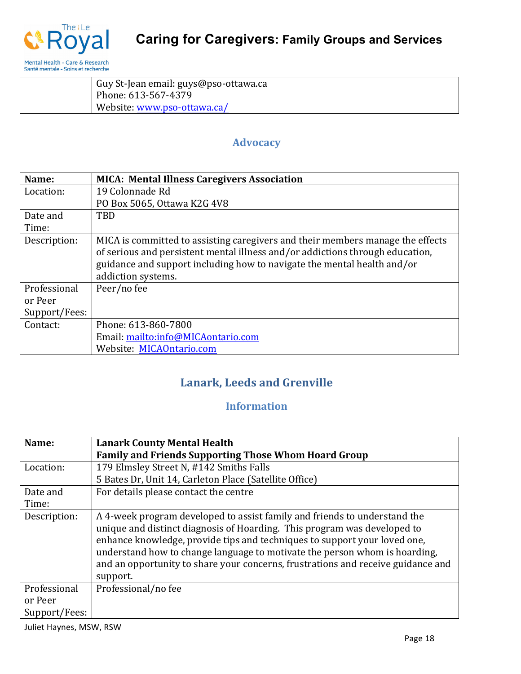

| Guy St-Jean email: guys@pso-ottawa.ca |
|---------------------------------------|
| Phone: 613-567-4379                   |
| Website: www.pso-ottawa.ca/           |

### **Advocacy**

| Name:         | <b>MICA: Mental Illness Caregivers Association</b>                                                                                                                                                                                                               |
|---------------|------------------------------------------------------------------------------------------------------------------------------------------------------------------------------------------------------------------------------------------------------------------|
| Location:     | 19 Colonnade Rd                                                                                                                                                                                                                                                  |
|               | PO Box 5065, Ottawa K2G 4V8                                                                                                                                                                                                                                      |
| Date and      | <b>TBD</b>                                                                                                                                                                                                                                                       |
| Time:         |                                                                                                                                                                                                                                                                  |
| Description:  | MICA is committed to assisting caregivers and their members manage the effects<br>of serious and persistent mental illness and/or addictions through education,<br>guidance and support including how to navigate the mental health and/or<br>addiction systems. |
| Professional  | Peer/no fee                                                                                                                                                                                                                                                      |
| or Peer       |                                                                                                                                                                                                                                                                  |
| Support/Fees: |                                                                                                                                                                                                                                                                  |
| Contact:      | Phone: 613-860-7800                                                                                                                                                                                                                                              |
|               | Email: mailto:info@MICAontario.com                                                                                                                                                                                                                               |
|               | Website: MICAOntario.com                                                                                                                                                                                                                                         |

### Lanark, Leeds and Grenville

### **Information**

| Name:                                    | <b>Lanark County Mental Health</b>                                                                                                                                                                                                                                                                                                                                                                               |
|------------------------------------------|------------------------------------------------------------------------------------------------------------------------------------------------------------------------------------------------------------------------------------------------------------------------------------------------------------------------------------------------------------------------------------------------------------------|
|                                          | <b>Family and Friends Supporting Those Whom Hoard Group</b>                                                                                                                                                                                                                                                                                                                                                      |
| Location:                                | 179 Elmsley Street N, #142 Smiths Falls                                                                                                                                                                                                                                                                                                                                                                          |
|                                          | 5 Bates Dr, Unit 14, Carleton Place (Satellite Office)                                                                                                                                                                                                                                                                                                                                                           |
| Date and                                 | For details please contact the centre                                                                                                                                                                                                                                                                                                                                                                            |
| Time:                                    |                                                                                                                                                                                                                                                                                                                                                                                                                  |
| Description:                             | A 4-week program developed to assist family and friends to understand the<br>unique and distinct diagnosis of Hoarding. This program was developed to<br>enhance knowledge, provide tips and techniques to support your loved one,<br>understand how to change language to motivate the person whom is hoarding,<br>and an opportunity to share your concerns, frustrations and receive guidance and<br>support. |
| Professional<br>or Peer<br>Support/Fees: | Professional/no fee                                                                                                                                                                                                                                                                                                                                                                                              |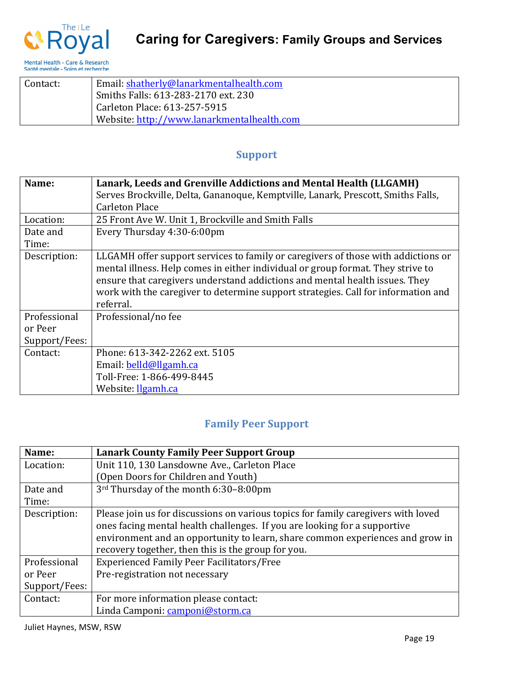



| Contact: | Email: shatherly@lanarkmentalhealth.com    |
|----------|--------------------------------------------|
|          | Smiths Falls: 613-283-2170 ext. 230        |
|          | Carleton Place: 613-257-5915               |
|          | Website: http://www.lanarkmentalhealth.com |

#### **Support**

| Name:         | Lanark, Leeds and Grenville Addictions and Mental Health (LLGAMH)                                                                                                                                                                                                                                                                                     |
|---------------|-------------------------------------------------------------------------------------------------------------------------------------------------------------------------------------------------------------------------------------------------------------------------------------------------------------------------------------------------------|
|               | Serves Brockville, Delta, Gananoque, Kemptville, Lanark, Prescott, Smiths Falls,                                                                                                                                                                                                                                                                      |
|               | <b>Carleton Place</b>                                                                                                                                                                                                                                                                                                                                 |
| Location:     | 25 Front Ave W. Unit 1, Brockville and Smith Falls                                                                                                                                                                                                                                                                                                    |
| Date and      | Every Thursday 4:30-6:00pm                                                                                                                                                                                                                                                                                                                            |
| Time:         |                                                                                                                                                                                                                                                                                                                                                       |
| Description:  | LLGAMH offer support services to family or caregivers of those with addictions or<br>mental illness. Help comes in either individual or group format. They strive to<br>ensure that caregivers understand addictions and mental health issues. They<br>work with the caregiver to determine support strategies. Call for information and<br>referral. |
| Professional  | Professional/no fee                                                                                                                                                                                                                                                                                                                                   |
| or Peer       |                                                                                                                                                                                                                                                                                                                                                       |
| Support/Fees: |                                                                                                                                                                                                                                                                                                                                                       |
| Contact:      | Phone: 613-342-2262 ext. 5105                                                                                                                                                                                                                                                                                                                         |
|               | Email: belld@llgamh.ca                                                                                                                                                                                                                                                                                                                                |
|               | Toll-Free: 1-866-499-8445                                                                                                                                                                                                                                                                                                                             |
|               | Website: llgamh.ca                                                                                                                                                                                                                                                                                                                                    |

### **Family Peer Support**

| Name:         | <b>Lanark County Family Peer Support Group</b>                                    |
|---------------|-----------------------------------------------------------------------------------|
| Location:     | Unit 110, 130 Lansdowne Ave., Carleton Place                                      |
|               | (Open Doors for Children and Youth)                                               |
| Date and      | 3rd Thursday of the month 6:30-8:00pm                                             |
| Time:         |                                                                                   |
| Description:  | Please join us for discussions on various topics for family caregivers with loved |
|               | ones facing mental health challenges. If you are looking for a supportive         |
|               | environment and an opportunity to learn, share common experiences and grow in     |
|               | recovery together, then this is the group for you.                                |
| Professional  | <b>Experienced Family Peer Facilitators/Free</b>                                  |
| or Peer       | Pre-registration not necessary                                                    |
| Support/Fees: |                                                                                   |
| Contact:      | For more information please contact:                                              |
|               | Linda Camponi: camponi@storm.ca                                                   |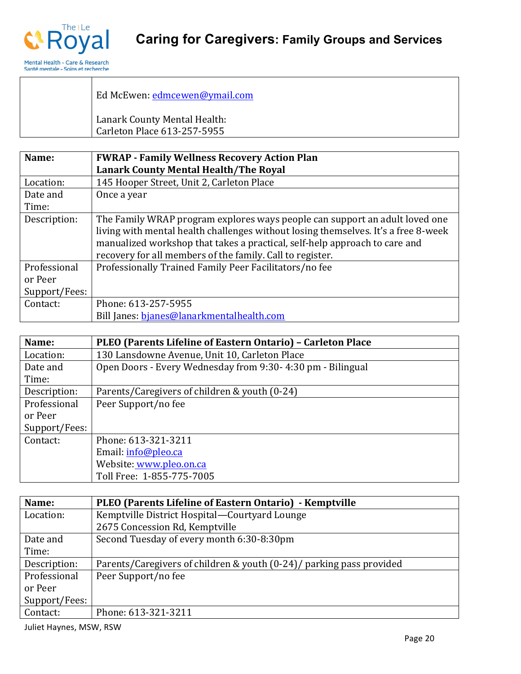

| Ed McEwen: edmcewen@ymail.com                               |
|-------------------------------------------------------------|
| Lanark County Mental Health:<br>Carleton Place 613-257-5955 |

| Name:         | <b>FWRAP - Family Wellness Recovery Action Plan</b>                                |
|---------------|------------------------------------------------------------------------------------|
|               | <b>Lanark County Mental Health/The Royal</b>                                       |
| Location:     | 145 Hooper Street, Unit 2, Carleton Place                                          |
| Date and      | Once a year                                                                        |
| Time:         |                                                                                    |
| Description:  | The Family WRAP program explores ways people can support an adult loved one        |
|               | living with mental health challenges without losing themselves. It's a free 8-week |
|               | manualized workshop that takes a practical, self-help approach to care and         |
|               | recovery for all members of the family. Call to register.                          |
| Professional  | Professionally Trained Family Peer Facilitators/no fee                             |
| or Peer       |                                                                                    |
| Support/Fees: |                                                                                    |
| Contact:      | Phone: 613-257-5955                                                                |
|               | Bill Janes: bjanes@lanarkmentalhealth.com                                          |

| Name:         | PLEO (Parents Lifeline of Eastern Ontario) - Carleton Place |
|---------------|-------------------------------------------------------------|
| Location:     | 130 Lansdowne Avenue, Unit 10, Carleton Place               |
| Date and      | Open Doors - Every Wednesday from 9:30-4:30 pm - Bilingual  |
| Time:         |                                                             |
| Description:  | Parents/Caregivers of children & youth (0-24)               |
| Professional  | Peer Support/no fee                                         |
| or Peer       |                                                             |
| Support/Fees: |                                                             |
| Contact:      | Phone: 613-321-3211                                         |
|               | Email: info@pleo.ca                                         |
|               | Website: www.pleo.on.ca                                     |
|               | Toll Free: 1-855-775-7005                                   |

| Name:         | PLEO (Parents Lifeline of Eastern Ontario) - Kemptville              |
|---------------|----------------------------------------------------------------------|
| Location:     | Kemptville District Hospital—Courtyard Lounge                        |
|               | 2675 Concession Rd, Kemptville                                       |
| Date and      | Second Tuesday of every month 6:30-8:30pm                            |
| Time:         |                                                                      |
| Description:  | Parents/Caregivers of children & youth (0-24)/ parking pass provided |
| Professional  | Peer Support/no fee                                                  |
| or Peer       |                                                                      |
| Support/Fees: |                                                                      |
| Contact:      | Phone: 613-321-3211                                                  |

Juliet Haynes, MSW, RSW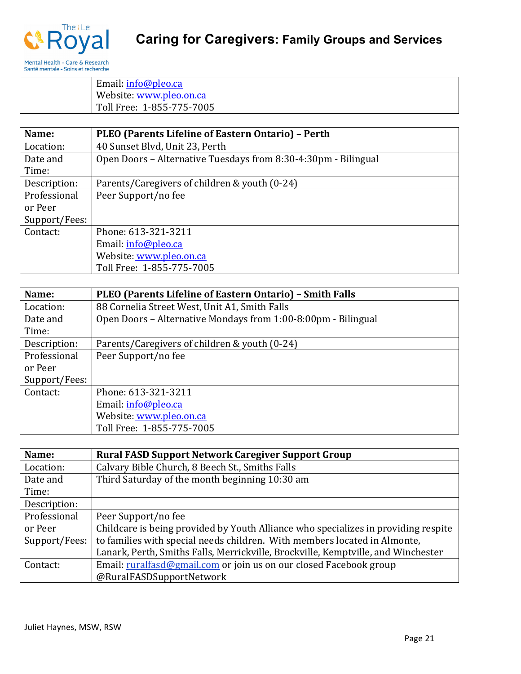

Email: info@pleo.ca Website: www.pleo.on.ca Toll Free: 1-855-775-7005

| Name:         | PLEO (Parents Lifeline of Eastern Ontario) - Perth             |
|---------------|----------------------------------------------------------------|
| Location:     | 40 Sunset Blvd, Unit 23, Perth                                 |
| Date and      | Open Doors - Alternative Tuesdays from 8:30-4:30pm - Bilingual |
| Time:         |                                                                |
| Description:  | Parents/Caregivers of children & youth (0-24)                  |
| Professional  | Peer Support/no fee                                            |
| or Peer       |                                                                |
| Support/Fees: |                                                                |
| Contact:      | Phone: 613-321-3211                                            |
|               | Email: info@pleo.ca                                            |
|               | Website: www.pleo.on.ca                                        |
|               | Toll Free: 1-855-775-7005                                      |

| Name:         | <b>PLEO (Parents Lifeline of Eastern Ontario) - Smith Falls</b> |
|---------------|-----------------------------------------------------------------|
| Location:     | 88 Cornelia Street West, Unit A1, Smith Falls                   |
| Date and      | Open Doors – Alternative Mondays from 1:00-8:00pm - Bilingual   |
| Time:         |                                                                 |
| Description:  | Parents/Caregivers of children & youth (0-24)                   |
| Professional  | Peer Support/no fee                                             |
| or Peer       |                                                                 |
| Support/Fees: |                                                                 |
| Contact:      | Phone: 613-321-3211                                             |
|               | Email: info@pleo.ca                                             |
|               | Website: www.pleo.on.ca                                         |
|               | Toll Free: 1-855-775-7005                                       |

| Name:         | <b>Rural FASD Support Network Caregiver Support Group</b>                          |
|---------------|------------------------------------------------------------------------------------|
| Location:     | Calvary Bible Church, 8 Beech St., Smiths Falls                                    |
| Date and      | Third Saturday of the month beginning 10:30 am                                     |
| Time:         |                                                                                    |
| Description:  |                                                                                    |
| Professional  | Peer Support/no fee                                                                |
| or Peer       | Childcare is being provided by Youth Alliance who specializes in providing respite |
| Support/Fees: | to families with special needs children. With members located in Almonte,          |
|               | Lanark, Perth, Smiths Falls, Merrickville, Brockville, Kemptville, and Winchester  |
| Contact:      | Email: ruralfasd@gmail.com or join us on our closed Facebook group                 |
|               | @RuralFASDSupportNetwork                                                           |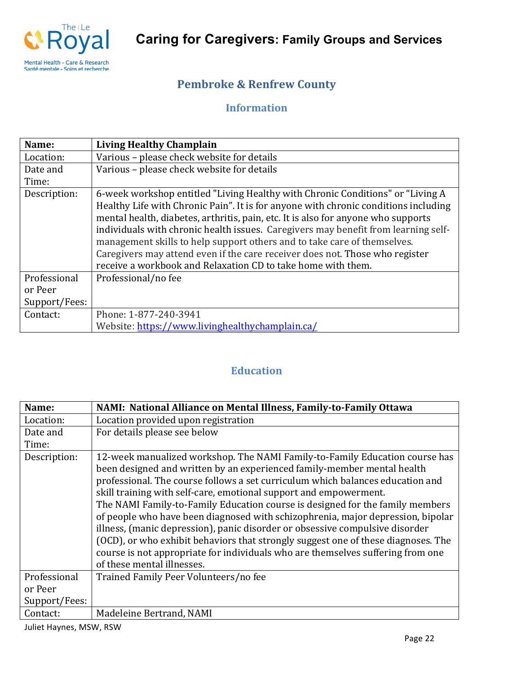

### **Pembroke & Renfrew County**

### **Information**

| Name:         | <b>Living Healthy Champlain</b>                                                                                                                                                                                                                                                                                                                                                                                                                                                                                                                                              |
|---------------|------------------------------------------------------------------------------------------------------------------------------------------------------------------------------------------------------------------------------------------------------------------------------------------------------------------------------------------------------------------------------------------------------------------------------------------------------------------------------------------------------------------------------------------------------------------------------|
| Location:     | Various - please check website for details                                                                                                                                                                                                                                                                                                                                                                                                                                                                                                                                   |
| Date and      | Various - please check website for details                                                                                                                                                                                                                                                                                                                                                                                                                                                                                                                                   |
| Time:         |                                                                                                                                                                                                                                                                                                                                                                                                                                                                                                                                                                              |
| Description:  | 6-week workshop entitled "Living Healthy with Chronic Conditions" or "Living A<br>Healthy Life with Chronic Pain". It is for anyone with chronic conditions including<br>mental health, diabetes, arthritis, pain, etc. It is also for anyone who supports<br>individuals with chronic health issues. Caregivers may benefit from learning self-<br>management skills to help support others and to take care of themselves.<br>Caregivers may attend even if the care receiver does not. Those who register<br>receive a workbook and Relaxation CD to take home with them. |
| Professional  | Professional/no fee                                                                                                                                                                                                                                                                                                                                                                                                                                                                                                                                                          |
| or Peer       |                                                                                                                                                                                                                                                                                                                                                                                                                                                                                                                                                                              |
| Support/Fees: |                                                                                                                                                                                                                                                                                                                                                                                                                                                                                                                                                                              |
| Contact:      | Phone: 1-877-240-3941                                                                                                                                                                                                                                                                                                                                                                                                                                                                                                                                                        |
|               | Website: https://www.livinghealthychamplain.ca/                                                                                                                                                                                                                                                                                                                                                                                                                                                                                                                              |

### **Education**

| Name:         | NAMI: National Alliance on Mental Illness, Family-to-Family Ottawa                                                                                                                                                                                                                                                                                                                                                                                                                                                                                                                                                                                                                                                                                                      |
|---------------|-------------------------------------------------------------------------------------------------------------------------------------------------------------------------------------------------------------------------------------------------------------------------------------------------------------------------------------------------------------------------------------------------------------------------------------------------------------------------------------------------------------------------------------------------------------------------------------------------------------------------------------------------------------------------------------------------------------------------------------------------------------------------|
| Location:     | Location provided upon registration                                                                                                                                                                                                                                                                                                                                                                                                                                                                                                                                                                                                                                                                                                                                     |
| Date and      | For details please see below                                                                                                                                                                                                                                                                                                                                                                                                                                                                                                                                                                                                                                                                                                                                            |
| Time:         |                                                                                                                                                                                                                                                                                                                                                                                                                                                                                                                                                                                                                                                                                                                                                                         |
| Description:  | 12-week manualized workshop. The NAMI Family-to-Family Education course has<br>been designed and written by an experienced family-member mental health<br>professional. The course follows a set curriculum which balances education and<br>skill training with self-care, emotional support and empowerment.<br>The NAMI Family-to-Family Education course is designed for the family members<br>of people who have been diagnosed with schizophrenia, major depression, bipolar<br>illness, (manic depression), panic disorder or obsessive compulsive disorder<br>(OCD), or who exhibit behaviors that strongly suggest one of these diagnoses. The<br>course is not appropriate for individuals who are themselves suffering from one<br>of these mental illnesses. |
| Professional  | Trained Family Peer Volunteers/no fee                                                                                                                                                                                                                                                                                                                                                                                                                                                                                                                                                                                                                                                                                                                                   |
| or Peer       |                                                                                                                                                                                                                                                                                                                                                                                                                                                                                                                                                                                                                                                                                                                                                                         |
| Support/Fees: |                                                                                                                                                                                                                                                                                                                                                                                                                                                                                                                                                                                                                                                                                                                                                                         |
| Contact:      | Madeleine Bertrand, NAMI                                                                                                                                                                                                                                                                                                                                                                                                                                                                                                                                                                                                                                                                                                                                                |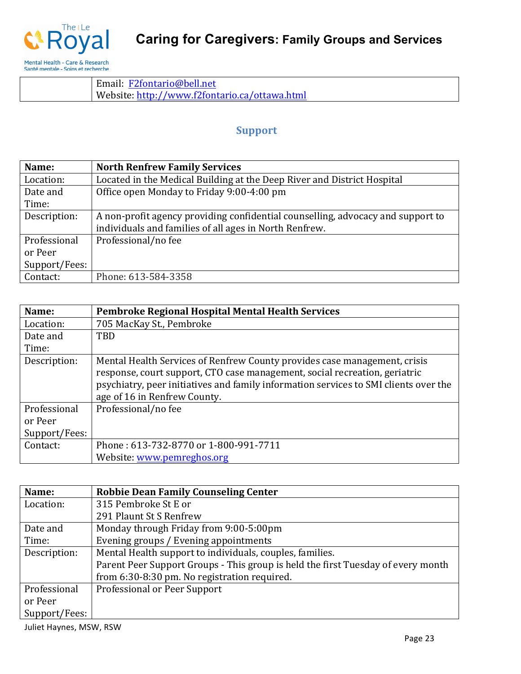

Email: F2fontario@bell.net Website: http://www.f2fontario.ca/ottawa.html

#### **Support**

| Name:         | <b>North Renfrew Family Services</b>                                            |
|---------------|---------------------------------------------------------------------------------|
| Location:     | Located in the Medical Building at the Deep River and District Hospital         |
| Date and      | Office open Monday to Friday 9:00-4:00 pm                                       |
| Time:         |                                                                                 |
| Description:  | A non-profit agency providing confidential counselling, advocacy and support to |
|               | individuals and families of all ages in North Renfrew.                          |
| Professional  | Professional/no fee                                                             |
| or Peer       |                                                                                 |
| Support/Fees: |                                                                                 |
| Contact:      | Phone: 613-584-3358                                                             |

| Name:         | Pembroke Regional Hospital Mental Health Services                                                                                                                                                                                                                               |
|---------------|---------------------------------------------------------------------------------------------------------------------------------------------------------------------------------------------------------------------------------------------------------------------------------|
| Location:     | 705 MacKay St., Pembroke                                                                                                                                                                                                                                                        |
| Date and      | <b>TBD</b>                                                                                                                                                                                                                                                                      |
| Time:         |                                                                                                                                                                                                                                                                                 |
| Description:  | Mental Health Services of Renfrew County provides case management, crisis<br>response, court support, CTO case management, social recreation, geriatric<br>psychiatry, peer initiatives and family information services to SMI clients over the<br>age of 16 in Renfrew County. |
| Professional  | Professional/no fee                                                                                                                                                                                                                                                             |
| or Peer       |                                                                                                                                                                                                                                                                                 |
| Support/Fees: |                                                                                                                                                                                                                                                                                 |
| Contact:      | Phone: 613-732-8770 or 1-800-991-7711                                                                                                                                                                                                                                           |
|               | Website: www.pemreghos.org                                                                                                                                                                                                                                                      |

| Name:         | <b>Robbie Dean Family Counseling Center</b>                                      |
|---------------|----------------------------------------------------------------------------------|
| Location:     | 315 Pembroke St E or                                                             |
|               | 291 Plaunt St S Renfrew                                                          |
| Date and      | Monday through Friday from 9:00-5:00pm                                           |
| Time:         | Evening groups / Evening appointments                                            |
| Description:  | Mental Health support to individuals, couples, families.                         |
|               | Parent Peer Support Groups - This group is held the first Tuesday of every month |
|               | from 6:30-8:30 pm. No registration required.                                     |
| Professional  | Professional or Peer Support                                                     |
| or Peer       |                                                                                  |
| Support/Fees: |                                                                                  |

Juliet Haynes, MSW, RSW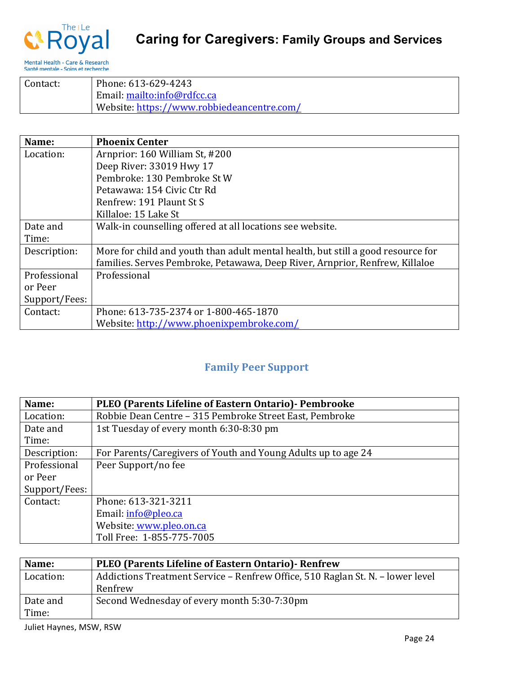

| Contact: | Phone: 613-629-4243                        |
|----------|--------------------------------------------|
|          | Email: mailto:info@rdfcc.ca                |
|          | Website: https://www.robbiedeancentre.com/ |

| Name:         | <b>Phoenix Center</b>                                                            |
|---------------|----------------------------------------------------------------------------------|
| Location:     | Arnprior: 160 William St, #200                                                   |
|               | Deep River: 33019 Hwy 17                                                         |
|               | Pembroke: 130 Pembroke St W                                                      |
|               | Petawawa: 154 Civic Ctr Rd                                                       |
|               | Renfrew: 191 Plaunt St S                                                         |
|               | Killaloe: 15 Lake St                                                             |
| Date and      | Walk-in counselling offered at all locations see website.                        |
| Time:         |                                                                                  |
| Description:  | More for child and youth than adult mental health, but still a good resource for |
|               | families. Serves Pembroke, Petawawa, Deep River, Arnprior, Renfrew, Killaloe     |
| Professional  | Professional                                                                     |
| or Peer       |                                                                                  |
| Support/Fees: |                                                                                  |
| Contact:      | Phone: 613-735-2374 or 1-800-465-1870                                            |
|               | Website: http://www.phoenixpembroke.com/                                         |

### **Family Peer Support**

| Name:         | PLEO (Parents Lifeline of Eastern Ontario) - Pembrooke        |
|---------------|---------------------------------------------------------------|
| Location:     | Robbie Dean Centre - 315 Pembroke Street East, Pembroke       |
| Date and      | 1st Tuesday of every month 6:30-8:30 pm                       |
| Time:         |                                                               |
| Description:  | For Parents/Caregivers of Youth and Young Adults up to age 24 |
| Professional  | Peer Support/no fee                                           |
| or Peer       |                                                               |
| Support/Fees: |                                                               |
| Contact:      | Phone: 613-321-3211                                           |
|               | Email: info@pleo.ca                                           |
|               | Website: www.pleo.on.ca                                       |
|               | Toll Free: 1-855-775-7005                                     |

| Name:     | <b>PLEO</b> (Parents Lifeline of Eastern Ontario) - Renfrew                    |
|-----------|--------------------------------------------------------------------------------|
| Location: | Addictions Treatment Service – Renfrew Office, 510 Raglan St. N. – lower level |
|           | Renfrew                                                                        |
| Date and  | Second Wednesday of every month 5:30-7:30pm                                    |
| Time:     |                                                                                |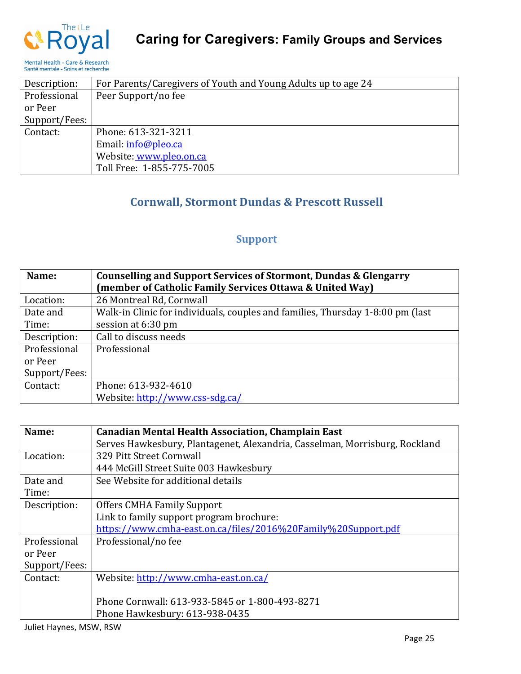

#### Description: For Parents/Caregivers of Youth and Young Adults up to age 24 Professional or Peer Support/Fees: Peer Support/no fee Contact: Phone: 613-321-3211 Email: info@pleo.ca Website: www.pleo.on.ca Toll Free: 1-855-775-7005

### **Cornwall, Stormont Dundas & Prescott Russell**

#### **Support**

| Name:         | Counselling and Support Services of Stormont, Dundas & Glengarry<br>(member of Catholic Family Services Ottawa & United Way) |
|---------------|------------------------------------------------------------------------------------------------------------------------------|
| Location:     | 26 Montreal Rd, Cornwall                                                                                                     |
| Date and      | Walk-in Clinic for individuals, couples and families, Thursday 1-8:00 pm (last                                               |
| Time:         | session at 6:30 pm                                                                                                           |
| Description:  | Call to discuss needs                                                                                                        |
| Professional  | Professional                                                                                                                 |
| or Peer       |                                                                                                                              |
| Support/Fees: |                                                                                                                              |
| Contact:      | Phone: 613-932-4610                                                                                                          |
|               | Website: http://www.css-sdg.ca/                                                                                              |

| Name:         | <b>Canadian Mental Health Association, Champlain East</b>                   |
|---------------|-----------------------------------------------------------------------------|
|               | Serves Hawkesbury, Plantagenet, Alexandria, Casselman, Morrisburg, Rockland |
| Location:     | 329 Pitt Street Cornwall                                                    |
|               | 444 McGill Street Suite 003 Hawkesbury                                      |
| Date and      | See Website for additional details                                          |
| Time:         |                                                                             |
| Description:  | <b>Offers CMHA Family Support</b>                                           |
|               | Link to family support program brochure:                                    |
|               | https://www.cmha-east.on.ca/files/2016%20Family%20Support.pdf               |
| Professional  | Professional/no fee                                                         |
| or Peer       |                                                                             |
| Support/Fees: |                                                                             |
| Contact:      | Website: http://www.cmha-east.on.ca/                                        |
|               |                                                                             |
|               | Phone Cornwall: 613-933-5845 or 1-800-493-8271                              |
|               | Phone Hawkesbury: 613-938-0435                                              |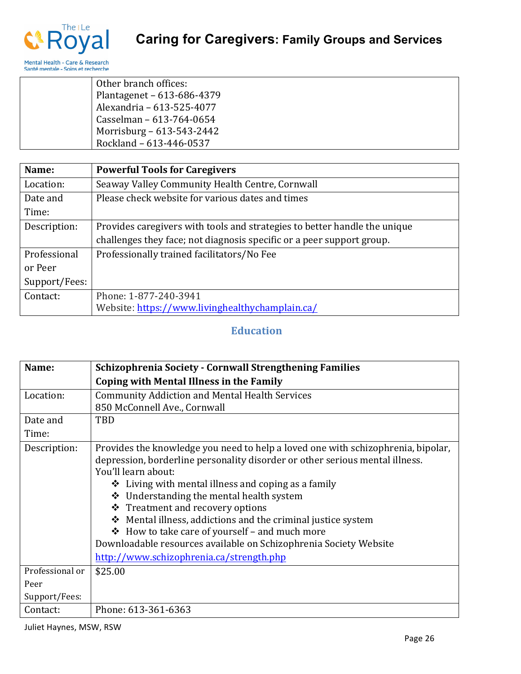

| Other branch offices:      |
|----------------------------|
| Plantagenet - 613-686-4379 |
| Alexandria - 613-525-4077  |
| Casselman - 613-764-0654   |
| Morrisburg - 613-543-2442  |
| Rockland - 613-446-0537    |

| Name:         | <b>Powerful Tools for Caregivers</b>                                      |
|---------------|---------------------------------------------------------------------------|
| Location:     | Seaway Valley Community Health Centre, Cornwall                           |
| Date and      | Please check website for various dates and times                          |
| Time:         |                                                                           |
| Description:  | Provides caregivers with tools and strategies to better handle the unique |
|               | challenges they face; not diagnosis specific or a peer support group.     |
| Professional  | Professionally trained facilitators/No Fee                                |
| or Peer       |                                                                           |
| Support/Fees: |                                                                           |
| Contact:      | Phone: 1-877-240-3941                                                     |
|               | Website: https://www.livinghealthychamplain.ca/                           |

### **Education**

| Name:           | <b>Schizophrenia Society - Cornwall Strengthening Families</b>                                                                                                                                                                                                                                                                                                                                                                                                                                                                                                                       |
|-----------------|--------------------------------------------------------------------------------------------------------------------------------------------------------------------------------------------------------------------------------------------------------------------------------------------------------------------------------------------------------------------------------------------------------------------------------------------------------------------------------------------------------------------------------------------------------------------------------------|
|                 | Coping with Mental Illness in the Family                                                                                                                                                                                                                                                                                                                                                                                                                                                                                                                                             |
| Location:       | <b>Community Addiction and Mental Health Services</b>                                                                                                                                                                                                                                                                                                                                                                                                                                                                                                                                |
|                 | 850 McConnell Ave., Cornwall                                                                                                                                                                                                                                                                                                                                                                                                                                                                                                                                                         |
| Date and        | TBD                                                                                                                                                                                                                                                                                                                                                                                                                                                                                                                                                                                  |
| Time:           |                                                                                                                                                                                                                                                                                                                                                                                                                                                                                                                                                                                      |
| Description:    | Provides the knowledge you need to help a loved one with schizophrenia, bipolar,<br>depression, borderline personality disorder or other serious mental illness.<br>You'll learn about:<br>$\triangle$ Living with mental illness and coping as a family<br>Understanding the mental health system<br>❖<br>❖ Treatment and recovery options<br>Mental illness, addictions and the criminal justice system<br>❖<br>How to take care of yourself – and much more<br>❖<br>Downloadable resources available on Schizophrenia Society Website<br>http://www.schizophrenia.ca/strength.php |
| Professional or | \$25.00                                                                                                                                                                                                                                                                                                                                                                                                                                                                                                                                                                              |
| Peer            |                                                                                                                                                                                                                                                                                                                                                                                                                                                                                                                                                                                      |
| Support/Fees:   |                                                                                                                                                                                                                                                                                                                                                                                                                                                                                                                                                                                      |
| Contact:        | Phone: 613-361-6363                                                                                                                                                                                                                                                                                                                                                                                                                                                                                                                                                                  |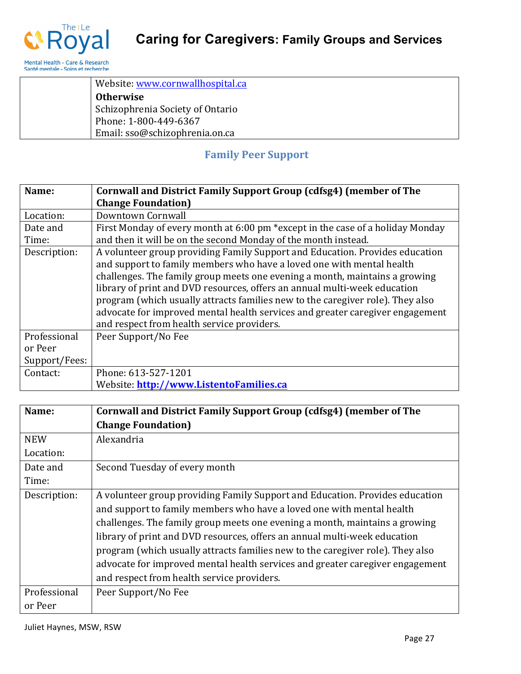

| Website: www.cornwallhospital.ca |
|----------------------------------|
| <b>Otherwise</b>                 |
| Schizophrenia Society of Ontario |
| Phone: 1-800-449-6367            |
| Email: sso@schizophrenia.on.ca   |

### **Family Peer Support**

| Name:         | Cornwall and District Family Support Group (cdfsg4) (member of The                                                                                                                                                                                                                                                                                                                                                                                                                                                                 |
|---------------|------------------------------------------------------------------------------------------------------------------------------------------------------------------------------------------------------------------------------------------------------------------------------------------------------------------------------------------------------------------------------------------------------------------------------------------------------------------------------------------------------------------------------------|
|               | <b>Change Foundation</b> )                                                                                                                                                                                                                                                                                                                                                                                                                                                                                                         |
| Location:     | Downtown Cornwall                                                                                                                                                                                                                                                                                                                                                                                                                                                                                                                  |
| Date and      | First Monday of every month at 6:00 pm *except in the case of a holiday Monday                                                                                                                                                                                                                                                                                                                                                                                                                                                     |
| Time:         | and then it will be on the second Monday of the month instead.                                                                                                                                                                                                                                                                                                                                                                                                                                                                     |
| Description:  | A volunteer group providing Family Support and Education. Provides education<br>and support to family members who have a loved one with mental health<br>challenges. The family group meets one evening a month, maintains a growing<br>library of print and DVD resources, offers an annual multi-week education<br>program (which usually attracts families new to the caregiver role). They also<br>advocate for improved mental health services and greater caregiver engagement<br>and respect from health service providers. |
| Professional  | Peer Support/No Fee                                                                                                                                                                                                                                                                                                                                                                                                                                                                                                                |
| or Peer       |                                                                                                                                                                                                                                                                                                                                                                                                                                                                                                                                    |
| Support/Fees: |                                                                                                                                                                                                                                                                                                                                                                                                                                                                                                                                    |
| Contact:      | Phone: 613-527-1201                                                                                                                                                                                                                                                                                                                                                                                                                                                                                                                |
|               | Website: http://www.ListentoFamilies.ca                                                                                                                                                                                                                                                                                                                                                                                                                                                                                            |

| Name:        | Cornwall and District Family Support Group (cdfsg4) (member of The                                                                                                                                                                                                                                                                                                                                                                                                                                                                 |
|--------------|------------------------------------------------------------------------------------------------------------------------------------------------------------------------------------------------------------------------------------------------------------------------------------------------------------------------------------------------------------------------------------------------------------------------------------------------------------------------------------------------------------------------------------|
|              | <b>Change Foundation</b> )                                                                                                                                                                                                                                                                                                                                                                                                                                                                                                         |
| <b>NEW</b>   | Alexandria                                                                                                                                                                                                                                                                                                                                                                                                                                                                                                                         |
| Location:    |                                                                                                                                                                                                                                                                                                                                                                                                                                                                                                                                    |
| Date and     | Second Tuesday of every month                                                                                                                                                                                                                                                                                                                                                                                                                                                                                                      |
| Time:        |                                                                                                                                                                                                                                                                                                                                                                                                                                                                                                                                    |
| Description: | A volunteer group providing Family Support and Education. Provides education<br>and support to family members who have a loved one with mental health<br>challenges. The family group meets one evening a month, maintains a growing<br>library of print and DVD resources, offers an annual multi-week education<br>program (which usually attracts families new to the caregiver role). They also<br>advocate for improved mental health services and greater caregiver engagement<br>and respect from health service providers. |
|              |                                                                                                                                                                                                                                                                                                                                                                                                                                                                                                                                    |
| Professional | Peer Support/No Fee                                                                                                                                                                                                                                                                                                                                                                                                                                                                                                                |
| or Peer      |                                                                                                                                                                                                                                                                                                                                                                                                                                                                                                                                    |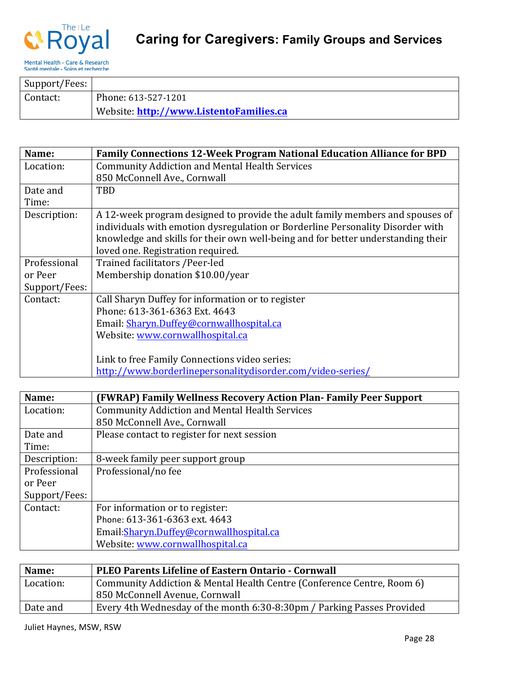

| Support/Fees: |                                         |
|---------------|-----------------------------------------|
| Contact:      | Phone: 613-527-1201                     |
|               | Website: http://www.ListentoFamilies.ca |

| Name:         | <b>Family Connections 12-Week Program National Education Alliance for BPD</b>    |
|---------------|----------------------------------------------------------------------------------|
| Location:     | <b>Community Addiction and Mental Health Services</b>                            |
|               | 850 McConnell Ave., Cornwall                                                     |
| Date and      | TBD                                                                              |
| Time:         |                                                                                  |
| Description:  | A 12-week program designed to provide the adult family members and spouses of    |
|               | individuals with emotion dysregulation or Borderline Personality Disorder with   |
|               | knowledge and skills for their own well-being and for better understanding their |
|               | loved one. Registration required.                                                |
| Professional  | Trained facilitators / Peer-led                                                  |
| or Peer       | Membership donation \$10.00/year                                                 |
| Support/Fees: |                                                                                  |
| Contact:      | Call Sharyn Duffey for information or to register                                |
|               | Phone: 613-361-6363 Ext. 4643                                                    |
|               | Email: Sharyn.Duffey@cornwallhospital.ca                                         |
|               | Website: www.cornwallhospital.ca                                                 |
|               |                                                                                  |
|               | Link to free Family Connections video series:                                    |
|               | http://www.borderlinepersonalitydisorder.com/video-series/                       |

| Name:         | (FWRAP) Family Wellness Recovery Action Plan-Family Peer Support |
|---------------|------------------------------------------------------------------|
| Location:     | <b>Community Addiction and Mental Health Services</b>            |
|               | 850 McConnell Ave., Cornwall                                     |
| Date and      | Please contact to register for next session                      |
| Time:         |                                                                  |
| Description:  | 8-week family peer support group                                 |
| Professional  | Professional/no fee                                              |
| or Peer       |                                                                  |
| Support/Fees: |                                                                  |
| Contact:      | For information or to register:                                  |
|               | Phone: 613-361-6363 ext. 4643                                    |
|               | Email: Sharyn. Duffey@cornwallhospital.ca                        |
|               | Website: www.cornwallhospital.ca                                 |

| Name:     | <b>PLEO Parents Lifeline of Eastern Ontario - Cornwall</b>             |
|-----------|------------------------------------------------------------------------|
| Location: | Community Addiction & Mental Health Centre (Conference Centre, Room 6) |
|           | 850 McConnell Avenue, Cornwall                                         |
| Date and  | Every 4th Wednesday of the month 6:30-8:30pm / Parking Passes Provided |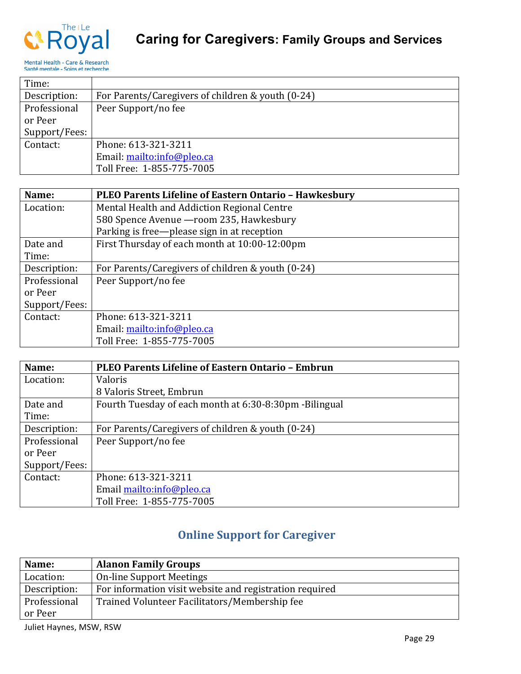

| Time:         |                                                   |
|---------------|---------------------------------------------------|
| Description:  | For Parents/Caregivers of children & youth (0-24) |
| Professional  | Peer Support/no fee                               |
| or Peer       |                                                   |
| Support/Fees: |                                                   |
| Contact:      | Phone: 613-321-3211                               |
|               | Email: mailto:info@pleo.ca                        |
|               | Toll Free: 1-855-775-7005                         |

| Name:         | PLEO Parents Lifeline of Eastern Ontario - Hawkesbury |
|---------------|-------------------------------------------------------|
| Location:     | Mental Health and Addiction Regional Centre           |
|               | 580 Spence Avenue - room 235, Hawkesbury              |
|               | Parking is free—please sign in at reception           |
| Date and      | First Thursday of each month at 10:00-12:00pm         |
| Time:         |                                                       |
| Description:  | For Parents/Caregivers of children & youth (0-24)     |
| Professional  | Peer Support/no fee                                   |
| or Peer       |                                                       |
| Support/Fees: |                                                       |
| Contact:      | Phone: 613-321-3211                                   |
|               | Email: mailto:info@pleo.ca                            |
|               | Toll Free: 1-855-775-7005                             |

| Name:         | PLEO Parents Lifeline of Eastern Ontario - Embrun       |
|---------------|---------------------------------------------------------|
| Location:     | <b>Valoris</b>                                          |
|               | 8 Valoris Street, Embrun                                |
| Date and      | Fourth Tuesday of each month at 6:30-8:30pm - Bilingual |
| Time:         |                                                         |
| Description:  | For Parents/Caregivers of children & youth (0-24)       |
| Professional  | Peer Support/no fee                                     |
| or Peer       |                                                         |
| Support/Fees: |                                                         |
| Contact:      | Phone: 613-321-3211                                     |
|               | Email mailto:info@pleo.ca                               |
|               | Toll Free: 1-855-775-7005                               |

### **Online Support for Caregiver**

| Name:        | <b>Alanon Family Groups</b>                             |
|--------------|---------------------------------------------------------|
| Location:    | <b>On-line Support Meetings</b>                         |
| Description: | For information visit website and registration required |
| Professional | Trained Volunteer Facilitators/Membership fee           |
| or Peer      |                                                         |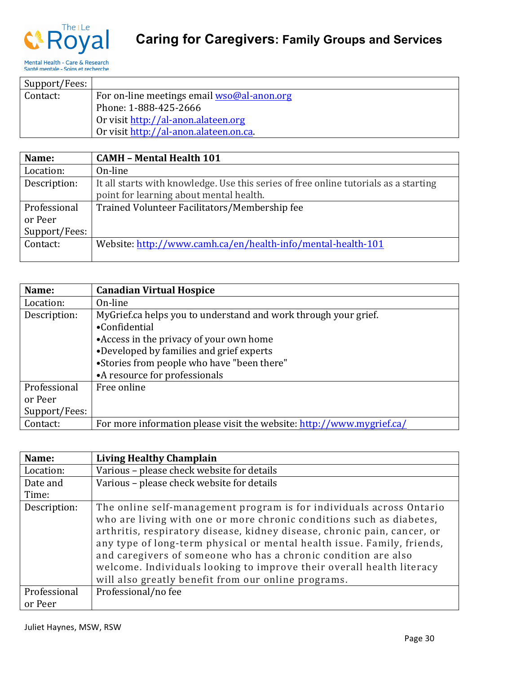

# **Caring for Caregivers: Family Groups and Services**

| Support/Fees: |                                                     |
|---------------|-----------------------------------------------------|
| Contact:      | For on-line meetings email $wso@al\text{-}anon.org$ |
|               | Phone: 1-888-425-2666                               |
|               | Or visit http://al-anon.alateen.org                 |
|               | Or visit http://al-anon.alateen.on.ca.              |

| Name:         | <b>CAMH - Mental Health 101</b>                                                                                                 |
|---------------|---------------------------------------------------------------------------------------------------------------------------------|
| Location:     | On-line                                                                                                                         |
| Description:  | It all starts with knowledge. Use this series of free online tutorials as a starting<br>point for learning about mental health. |
|               |                                                                                                                                 |
| Professional  | Trained Volunteer Facilitators/Membership fee                                                                                   |
| or Peer       |                                                                                                                                 |
| Support/Fees: |                                                                                                                                 |
| Contact:      | Website: http://www.camh.ca/en/health-info/mental-health-101                                                                    |
|               |                                                                                                                                 |

| Name:         | <b>Canadian Virtual Hospice</b>                                       |
|---------------|-----------------------------------------------------------------------|
| Location:     | On-line                                                               |
| Description:  | MyGrief.ca helps you to understand and work through your grief.       |
|               | •Confidential                                                         |
|               | • Access in the privacy of your own home                              |
|               | •Developed by families and grief experts                              |
|               | •Stories from people who have "been there"                            |
|               | •A resource for professionals                                         |
| Professional  | Free online                                                           |
| or Peer       |                                                                       |
| Support/Fees: |                                                                       |
| Contact:      | For more information please visit the website: http://www.mygrief.ca/ |

| Name:        | <b>Living Healthy Champlain</b>                                                                                                                                                                                                                                                                                                                                                                                                                                                                       |
|--------------|-------------------------------------------------------------------------------------------------------------------------------------------------------------------------------------------------------------------------------------------------------------------------------------------------------------------------------------------------------------------------------------------------------------------------------------------------------------------------------------------------------|
| Location:    | Various - please check website for details                                                                                                                                                                                                                                                                                                                                                                                                                                                            |
| Date and     | Various - please check website for details                                                                                                                                                                                                                                                                                                                                                                                                                                                            |
| Time:        |                                                                                                                                                                                                                                                                                                                                                                                                                                                                                                       |
| Description: | The online self-management program is for individuals across Ontario<br>who are living with one or more chronic conditions such as diabetes,<br>arthritis, respiratory disease, kidney disease, chronic pain, cancer, or<br>any type of long-term physical or mental health issue. Family, friends,<br>and caregivers of someone who has a chronic condition are also<br>welcome. Individuals looking to improve their overall health literacy<br>will also greatly benefit from our online programs. |
| Professional | Professional/no fee                                                                                                                                                                                                                                                                                                                                                                                                                                                                                   |
| or Peer      |                                                                                                                                                                                                                                                                                                                                                                                                                                                                                                       |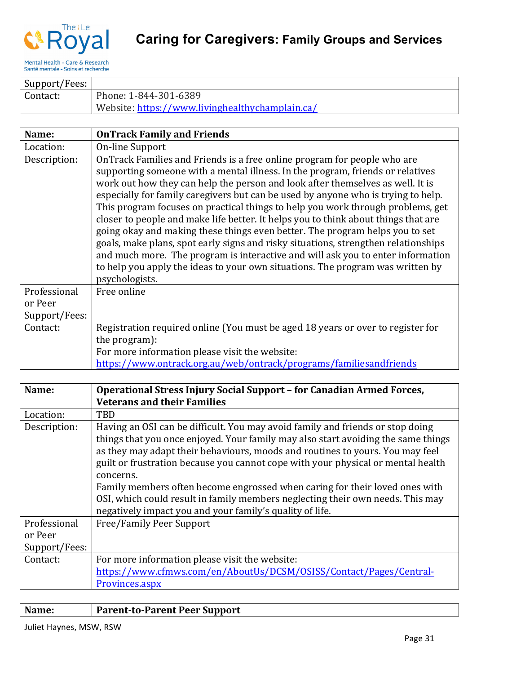

| Support/Fees: |                                                 |
|---------------|-------------------------------------------------|
| Contact:      | Phone: 1-844-301-6389                           |
|               | Website: https://www.livinghealthychamplain.ca/ |

| Name:         | <b>OnTrack Family and Friends</b>                                                                                                                                                                                                                                                                                                                                                                                                                                                                                                                                                                                                                                                                                                                                                                                                                                       |
|---------------|-------------------------------------------------------------------------------------------------------------------------------------------------------------------------------------------------------------------------------------------------------------------------------------------------------------------------------------------------------------------------------------------------------------------------------------------------------------------------------------------------------------------------------------------------------------------------------------------------------------------------------------------------------------------------------------------------------------------------------------------------------------------------------------------------------------------------------------------------------------------------|
| Location:     | On-line Support                                                                                                                                                                                                                                                                                                                                                                                                                                                                                                                                                                                                                                                                                                                                                                                                                                                         |
| Description:  | OnTrack Families and Friends is a free online program for people who are<br>supporting someone with a mental illness. In the program, friends or relatives<br>work out how they can help the person and look after themselves as well. It is<br>especially for family caregivers but can be used by anyone who is trying to help.<br>This program focuses on practical things to help you work through problems, get<br>closer to people and make life better. It helps you to think about things that are<br>going okay and making these things even better. The program helps you to set<br>goals, make plans, spot early signs and risky situations, strengthen relationships<br>and much more. The program is interactive and will ask you to enter information<br>to help you apply the ideas to your own situations. The program was written by<br>psychologists. |
| Professional  | Free online                                                                                                                                                                                                                                                                                                                                                                                                                                                                                                                                                                                                                                                                                                                                                                                                                                                             |
| or Peer       |                                                                                                                                                                                                                                                                                                                                                                                                                                                                                                                                                                                                                                                                                                                                                                                                                                                                         |
| Support/Fees: |                                                                                                                                                                                                                                                                                                                                                                                                                                                                                                                                                                                                                                                                                                                                                                                                                                                                         |
| Contact:      | Registration required online (You must be aged 18 years or over to register for                                                                                                                                                                                                                                                                                                                                                                                                                                                                                                                                                                                                                                                                                                                                                                                         |
|               | the program):                                                                                                                                                                                                                                                                                                                                                                                                                                                                                                                                                                                                                                                                                                                                                                                                                                                           |
|               | For more information please visit the website:                                                                                                                                                                                                                                                                                                                                                                                                                                                                                                                                                                                                                                                                                                                                                                                                                          |
|               | https://www.ontrack.org.au/web/ontrack/programs/familiesandfriends                                                                                                                                                                                                                                                                                                                                                                                                                                                                                                                                                                                                                                                                                                                                                                                                      |

| Name:         | Operational Stress Injury Social Support - for Canadian Armed Forces,                                                                                                                                                                                                                                                                                                                                                                                                                                                                                                              |
|---------------|------------------------------------------------------------------------------------------------------------------------------------------------------------------------------------------------------------------------------------------------------------------------------------------------------------------------------------------------------------------------------------------------------------------------------------------------------------------------------------------------------------------------------------------------------------------------------------|
|               | <b>Veterans and their Families</b>                                                                                                                                                                                                                                                                                                                                                                                                                                                                                                                                                 |
| Location:     | TBD                                                                                                                                                                                                                                                                                                                                                                                                                                                                                                                                                                                |
| Description:  | Having an OSI can be difficult. You may avoid family and friends or stop doing<br>things that you once enjoyed. Your family may also start avoiding the same things<br>as they may adapt their behaviours, moods and routines to yours. You may feel<br>guilt or frustration because you cannot cope with your physical or mental health<br>concerns.<br>Family members often become engrossed when caring for their loved ones with<br>OSI, which could result in family members neglecting their own needs. This may<br>negatively impact you and your family's quality of life. |
| Professional  | Free/Family Peer Support                                                                                                                                                                                                                                                                                                                                                                                                                                                                                                                                                           |
| or Peer       |                                                                                                                                                                                                                                                                                                                                                                                                                                                                                                                                                                                    |
| Support/Fees: |                                                                                                                                                                                                                                                                                                                                                                                                                                                                                                                                                                                    |
| Contact:      | For more information please visit the website:                                                                                                                                                                                                                                                                                                                                                                                                                                                                                                                                     |
|               | https://www.cfmws.com/en/AboutUs/DCSM/0SISS/Contact/Pages/Central-                                                                                                                                                                                                                                                                                                                                                                                                                                                                                                                 |
|               | Provinces.aspx                                                                                                                                                                                                                                                                                                                                                                                                                                                                                                                                                                     |

| Name: | <b>Parent-to-Parent Peer Support</b> |
|-------|--------------------------------------|
|       |                                      |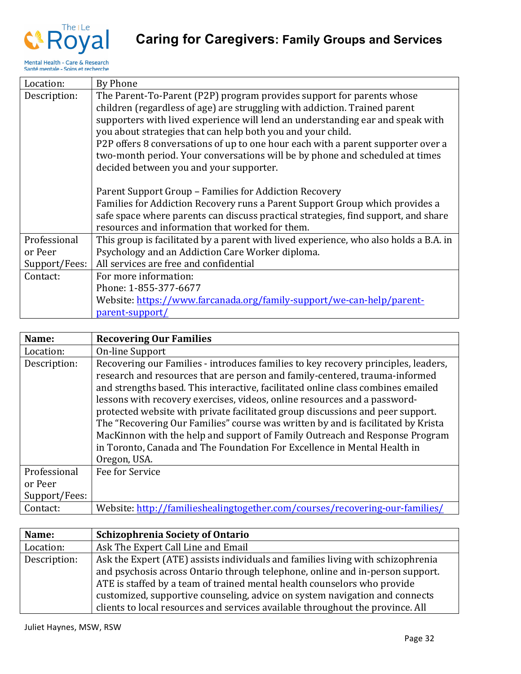

| Location:     | By Phone                                                                              |
|---------------|---------------------------------------------------------------------------------------|
| Description:  | The Parent-To-Parent (P2P) program provides support for parents whose                 |
|               | children (regardless of age) are struggling with addiction. Trained parent            |
|               | supporters with lived experience will lend an understanding ear and speak with        |
|               | you about strategies that can help both you and your child.                           |
|               | P2P offers 8 conversations of up to one hour each with a parent supporter over a      |
|               | two-month period. Your conversations will be by phone and scheduled at times          |
|               | decided between you and your supporter.                                               |
|               |                                                                                       |
|               | Parent Support Group - Families for Addiction Recovery                                |
|               | Families for Addiction Recovery runs a Parent Support Group which provides a          |
|               | safe space where parents can discuss practical strategies, find support, and share    |
|               | resources and information that worked for them.                                       |
| Professional  | This group is facilitated by a parent with lived experience, who also holds a B.A. in |
| or Peer       | Psychology and an Addiction Care Worker diploma.                                      |
| Support/Fees: | All services are free and confidential                                                |
| Contact:      | For more information:                                                                 |
|               | Phone: 1-855-377-6677                                                                 |
|               | Website: https://www.farcanada.org/family-support/we-can-help/parent-                 |
|               | parent-support/                                                                       |

| Name:         | <b>Recovering Our Families</b>                                                                                                                                                                                                                                                                                                                                                                                                                                                                                                                                                                                                                                                      |
|---------------|-------------------------------------------------------------------------------------------------------------------------------------------------------------------------------------------------------------------------------------------------------------------------------------------------------------------------------------------------------------------------------------------------------------------------------------------------------------------------------------------------------------------------------------------------------------------------------------------------------------------------------------------------------------------------------------|
| Location:     | On-line Support                                                                                                                                                                                                                                                                                                                                                                                                                                                                                                                                                                                                                                                                     |
| Description:  | Recovering our Families - introduces families to key recovery principles, leaders,<br>research and resources that are person and family-centered, trauma-informed<br>and strengths based. This interactive, facilitated online class combines emailed<br>lessons with recovery exercises, videos, online resources and a password-<br>protected website with private facilitated group discussions and peer support.<br>The "Recovering Our Families" course was written by and is facilitated by Krista<br>MacKinnon with the help and support of Family Outreach and Response Program<br>in Toronto, Canada and The Foundation For Excellence in Mental Health in<br>Oregon, USA. |
| Professional  | Fee for Service                                                                                                                                                                                                                                                                                                                                                                                                                                                                                                                                                                                                                                                                     |
| or Peer       |                                                                                                                                                                                                                                                                                                                                                                                                                                                                                                                                                                                                                                                                                     |
| Support/Fees: |                                                                                                                                                                                                                                                                                                                                                                                                                                                                                                                                                                                                                                                                                     |
| Contact:      | Website: http://familieshealingtogether.com/courses/recovering-our-families/                                                                                                                                                                                                                                                                                                                                                                                                                                                                                                                                                                                                        |

| Name:        | <b>Schizophrenia Society of Ontario</b>                                         |
|--------------|---------------------------------------------------------------------------------|
| Location:    | Ask The Expert Call Line and Email                                              |
| Description: | Ask the Expert (ATE) assists individuals and families living with schizophrenia |
|              | and psychosis across Ontario through telephone, online and in-person support.   |
|              | ATE is staffed by a team of trained mental health counselors who provide        |
|              | customized, supportive counseling, advice on system navigation and connects     |
|              | clients to local resources and services available throughout the province. All  |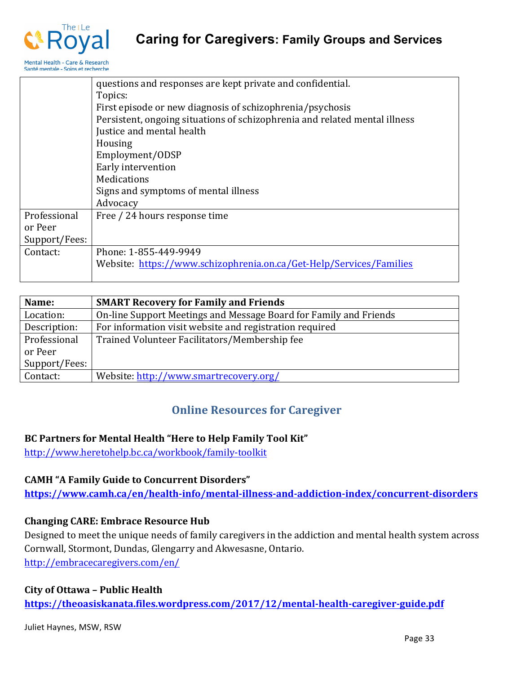

|               | questions and responses are kept private and confidential.                 |
|---------------|----------------------------------------------------------------------------|
|               | Topics:                                                                    |
|               | First episode or new diagnosis of schizophrenia/psychosis                  |
|               | Persistent, ongoing situations of schizophrenia and related mental illness |
|               | Justice and mental health                                                  |
|               | Housing                                                                    |
|               | Employment/ODSP                                                            |
|               | Early intervention                                                         |
|               | Medications                                                                |
|               | Signs and symptoms of mental illness                                       |
|               | Advocacy                                                                   |
| Professional  | Free / 24 hours response time                                              |
| or Peer       |                                                                            |
| Support/Fees: |                                                                            |
| Contact:      | Phone: 1-855-449-9949                                                      |
|               | Website: https://www.schizophrenia.on.ca/Get-Help/Services/Families        |
|               |                                                                            |

| Name:         | <b>SMART Recovery for Family and Friends</b>                      |
|---------------|-------------------------------------------------------------------|
| Location:     | On-line Support Meetings and Message Board for Family and Friends |
| Description:  | For information visit website and registration required           |
| Professional  | Trained Volunteer Facilitators/Membership fee                     |
| or Peer       |                                                                   |
| Support/Fees: |                                                                   |
| Contact:      | Website: http://www.smartrecovery.org/                            |

### **Online Resources for Caregiver**

#### **BC Partners for Mental Health "Here to Help Family Tool Kit"**

http://www.heretohelp.bc.ca/workbook/family-toolkit

#### **CAMH "A Family Guide to Concurrent Disorders"**

**https://www.camh.ca/en/health-info/mental-illness-and-addiction-index/concurrent-disorders**

#### **Changing CARE: Embrace Resource Hub**

Designed to meet the unique needs of family caregivers in the addiction and mental health system across Cornwall, Stormont, Dundas, Glengarry and Akwesasne, Ontario. http://embracecaregivers.com/en/

#### **City of Ottawa – Public Health**

**https://theoasiskanata.files.wordpress.com/2017/12/mental-health-caregiver-guide.pdf**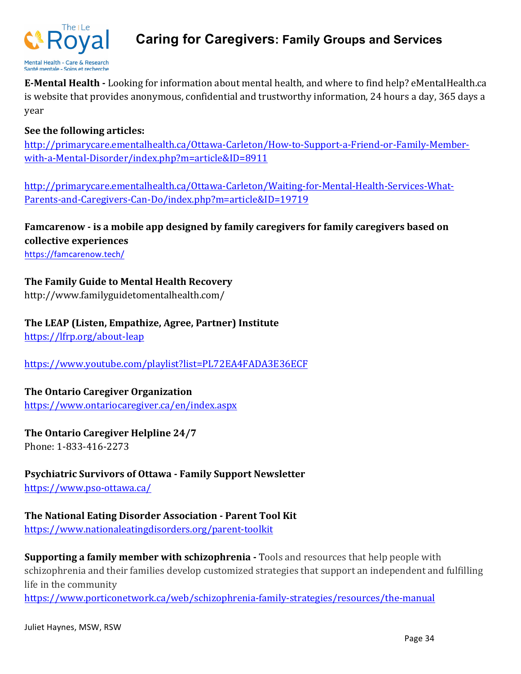

### **Caring for Caregivers: Family Groups and Services**

**E-Mental Health -** Looking for information about mental health, and where to find help? eMentalHealth.ca is website that provides anonymous, confidential and trustworthy information, 24 hours a day, 365 days a year

#### **See the following articles:**

http://primarycare.ementalhealth.ca/Ottawa-Carleton/How-to-Support-a-Friend-or-Family-Memberwith-a-Mental-Disorder/index.php?m=article&ID=8911

http://primarycare.ementalhealth.ca/Ottawa-Carleton/Waiting-for-Mental-Health-Services-What-Parents-and-Caregivers-Can-Do/index.php?m=article&ID=19719

**Famcarenow** - is a mobile app designed by family caregivers for family caregivers based on **collective experiences**

https://famcarenow.tech/

#### **The Family Guide to Mental Health Recovery**

http://www.familyguidetomentalhealth.com/

#### The LEAP (Listen, Empathize, Agree, Partner) Institute

https://lfrp.org/about-leap

https://www.youtube.com/playlist?list=PL72EA4FADA3E36ECF

#### **The Ontario Caregiver Organization**

https://www.ontariocaregiver.ca/en/index.aspx

#### **The Ontario Caregiver Helpline 24/7** Phone: 1-833-416-2273

#### **Psychiatric Survivors of Ottawa - Family Support Newsletter**

https://www.pso-ottawa.ca/

# **The National Eating Disorder Association - Parent Tool Kit**

https://www.nationaleatingdisorders.org/parent-toolkit

**Supporting a family member with schizophrenia -** Tools and resources that help people with schizophrenia and their families develop customized strategies that support an independent and fulfilling life in the community

https://www.porticonetwork.ca/web/schizophrenia-family-strategies/resources/the-manual

Juliet Haynes, MSW, RSW